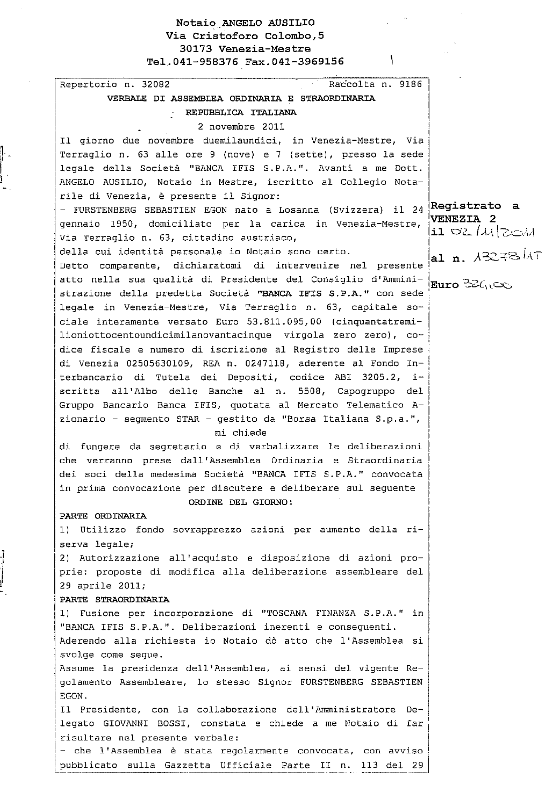# Notaio ANGELO AUSILIO Via Cristoforo Colombo, 5 30173 Venezia-Mestre Tel.041-958376 Fax.041-3969156

Repertorio n. 32082 Raccolta n. 9186 VERBALE DI ASSEMBLEA ORDINARIA E STRAORDINARIA REPUBBLICA ITALIANA 2 novembre 2011 Il giorno due novembre duemilaundici, in Venezia-Mestre, Via Terraglio n. 63 alle ore 9 (nove) e 7 (sette), presso la sede legale della Società "BANCA IFIS S.P.A.". Avanti a me Dott. ANGELO AUSILIO, Notaio in Mestre, iscritto al Collegio Notarile di Venezia, è presente il Signor: - FURSTENBERG SEBASTIEN EGON nato a Losanna (Svizzera) il 24 Registrato a VENEZIA 2 gennaio 1950, domiciliato per la carica in Venezia-Mestre, 11 02 | 서 | 2011 Via Terraglio n. 63, cittadino austriaco, della cui identità personale io Notaio sono certo. al n.  $\lambda$ 3273 $\lambda$ T Detto comparente, dichiaratomi di intervenire nel presente atto nella sua qualità di Presidente del Consiglio d'Ammini- $\mathbb E$ uro  $\mathbb E \mathcal{L}_0$ eo strazione della predetta Società "BANCA IFIS S.P.A." con sede legale in Venezia-Mestre, Via Terraglio n. 63, capitale sociale interamente versato Euro 53.811.095,00 (cinquantatremilioniottocentoundicimilanovantacinque virgola zero zero), codice fiscale e numero di iscrizione al Registro delle Imprese di Venezia 02505630109, REA n. 0247118, aderente al Fondo Interbancario di Tutela dei Depositi, codice ABI 3205.2, iscritta all'Albo delle Banche al n. 5508, Capogruppo del Gruppo Bancario Banca IFIS, quotata al Mercato Telematico Azionario - segmento STAR - gestito da "Borsa Italiana S.p.a.", mi chiede di fungere da segretario e di verbalizzare le deliberazioni che verranno prese dall'Assemblea Ordinaria e Straordinaria dei soci della medesima Società "BANCA IFIS S.P.A." convocata in prima convocazione per discutere e deliberare sul seguente ORDINE DEL GIORNO: PARTE ORDINARIA 1) Utilizzo fondo sovrapprezzo azioni per aumento della riserva legale; 2) Autorizzazione all'acquisto e disposizione di azioni proprie: proposte di modifica alla deliberazione assembleare del 29 aprile 2011; PARTE STRAORDINARIA 1) Fusione per incorporazione di "TOSCANA FINANZA S.P.A." in "BANCA IFIS S.P.A.". Deliberazioni inerenti e consequenti. Aderendo alla richiesta io Notaio dò atto che l'Assemblea si svolge come segue. Assume la presidenza dell'Assemblea, ai sensi del vigente Regolamento Assembleare, lo stesso Signor FURSTENBERG SEBASTIEN EGON. Il Presidente, con la collaborazione dell'Amministratore Delegato GIOVANNI BOSSI, constata e chiede a me Notaio di far risultare nel presente verbale: - che l'Assemblea è stata regolarmente convocata, con avviso pubblicato sulla Gazzetta Ufficiale Parte II n. 113 del 29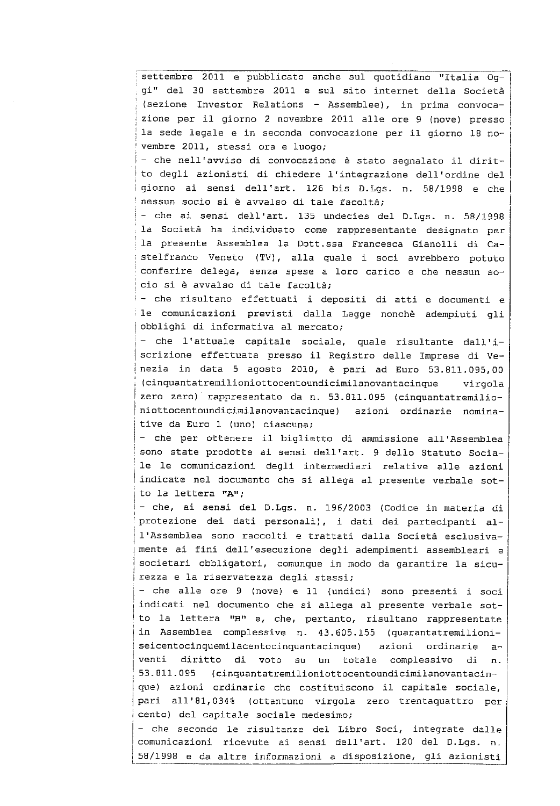settembre 2011 e pubblicato anche sul quotidiano "Italia Oggi" del 30 settembre 2011 e sul sito internet della Società (sezione Investor Relations - Assemblee), in prima convocazione per il giorno 2 novembre 2011 alle ore 9 (nove) presso la sede legale e in seconda convocazione per il giorno 18 novembre 2011, stessi ora e luogo; - che nell'avviso di convocazione è stato segnalato il diritto degli azionisti di chiedere l'integrazione dell'ordine del giorno ai sensi dell'art. 126 bis D.Lqs. n. 58/1998 e che nessun socio si è avvalso di tale facoltà; - che ai sensi dell'art. 135 undecies del D.Lgs. n. 58/1998 la Società ha individuato come rappresentante designato per la presente Assemblea la Dott.ssa Francesca Gianolli di Castelfranco Veneto (TV), alla quale i soci avrebbero potuto conferire delega, senza spese a loro carico e che nessun socio si è avvalso di tale facoltà; - che risultano effettuati i depositi di atti e documenti e le comunicazioni previsti dalla Legge nonchè adempiuti gli obblighi di informativa al mercato; che l'attuale capitale sociale, quale risultante dall'iscrizione effettuata presso il Registro delle Imprese di Venezia in data 5 agosto 2010, è pari ad Euro 53.811.095,00 (cinquantatremilioniottocentoundicimilanovantacinque virgola zero zero) rappresentato da n. 53.811.095 (cinquantatremilioniottocentoundicimilanovantacinque) azioni ordinarie nominative da Euro 1 (uno) ciascuna; - che per ottenere il biglietto di ammissione all'Assemblea sono state prodotte ai sensi dell'art. 9 dello Statuto Sociale le comunicazioni degli intermediari relative alle azioni indicate nel documento che si allega al presente verbale sotto la lettera "A"; - che, ai sensi del D.Lgs. n. 196/2003 (Codice in materia di protezione dei dati personali), i dati dei partecipanti all'Assemblea sono raccolti e trattati dalla Società esclusivamente ai fini dell'esecuzione degli adempimenti assembleari e societari obbligatori, comunque in modo da garantire la sicurezza e la riservatezza degli stessi; - che alle ore 9 (nove) e 11 (undici) sono presenti i soci indicati nel documento che si allega al presente verbale sotto la lettera "B" e, che, pertanto, risultano rappresentate in Assemblea complessive n. 43.605.155 (quarantatremilioniazioni seicentocinquemilacentocinquantacinque) ordinarie  $a$ venti diritto di voto su un totale complessivo di  $\mathbf{n}$ . 53.811.095 (cinquantatremilioniottocentoundicimilanovantacinque) azioni ordinarie che costituiscono il capitale sociale, pari all'81,034% (ottantuno virgola zero trentaquattro per cento) del capitale sociale medesimo; - che secondo le risultanze del Libro Soci, integrate dalle comunicazioni ricevute ai sensi dell'art. 120 del D.Lgs.  $n$ . 58/1998 e da altre informazioni a disposizione, gli azionisti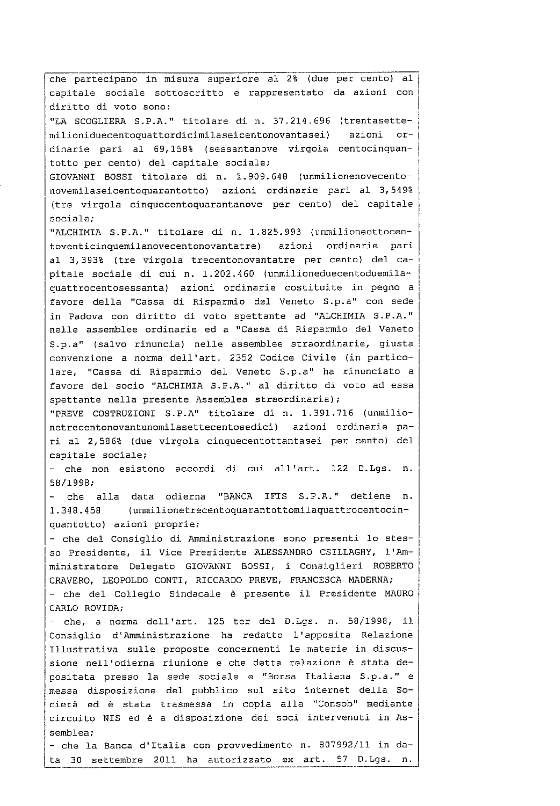che partecipano in misura superiore al 2% (due per cento) al capitale sociale sottoscritto e rappresentato da azioni con diritto di voto sono: "LA SCOGLIERA S.P.A." titolare di n. 37.214.696 (trentasettemilioniduecentoquattordicimilaseicentonovantasei) azioni  $-$  ordinarie pari al 69,158% (sessantanove virgola centocinquantotto per cento) del capitale sociale; GIOVANNI BOSSI titolare di n. 1.909.648 (unmilionenovecentonovemilaseicentoquarantotto) azioni ordinarie pari al 3,549% (tre virgola cinquecentoquarantanove per cento) del capitale sociale; "ALCHIMIA S.P.A." titolare di n. 1.825.993 (unmilioneottocentoventicinquemilanovecentonovantatre) azioni ordinarie pari al 3,393% (tre virgola trecentonovantatre per cento) del capitale sociale di cui n. 1.202.460 (unmilioneduecentoduemilaquattrocentosessanta) azioni ordinarie costituite in pegno a favore della "Cassa di Risparmio del Veneto S.p.a" con sede in Padova con diritto di voto spettante ad "ALCHIMIA S.P.A." nelle assemblee ordinarie ed a "Cassa di Risparmio del Veneto S.p.a" (salvo rinuncia) nelle assemblee straordinarie, giusta convenzione a norma dell'art. 2352 Codice Civile (in particolare, "Cassa di Risparmio del Veneto S.p.a" ha rinunciato a favore del socio "ALCHIMIA S.P.A." al diritto di voto ad essa spettante nella presente Assemblea straordinaria); "PREVE COSTRUZIONI S.P.A" titolare di n. 1.391.716 (unmilionetrecentonovantunomilasettecentosedici) azioni ordinarie pari al 2,586% (due virgola cinquecentottantasei per cento) del capitale sociale; - che non esistono accordi di cui all'art. 122 D.Lqs.  $\mathbf n$  . 58/1998; - che alla data odierna "BANCA IFIS S.P.A." detiene  $n$ . (unmilionetrecentoquarantottomilaquattrocentocin-1.348.458 quantotto) azioni proprie; - che del Consiglio di Amministrazione sono presenti lo stesso Presidente, il Vice Presidente ALESSANDRO CSILLAGHY, l'Amministratore Delegato GIOVANNI BOSSI, i Consiglieri ROBERTO CRAVERO, LEOPOLDO CONTI, RICCARDO PREVE, FRANCESCA MADERNA; - che del Collegio Sindacale è presente il Presidente MAURO CARLO ROVIDA; - che, a norma dell'art. 125 ter del D.Lgs. n. 58/1998, il. Consiglio d'Amministrazione ha redatto l'apposita Relazione Illustrativa sulle proposte concernenti le materie in discussione nell'odierna riunione e che detta relazione è stata depositata presso la sede sociale e "Borsa Italiana S.p.a." e messa disposizione del pubblico sul sito internet della Società ed è stata trasmessa in copia alla "Consob" mediante circuito NIS ed è a disposizione dei soci intervenuti in Assemblea; - che la Banca d'Italia con provvedimento n. 807992/11 in data 30 settembre 2011 ha autorizzato ex art. 57 D.Lgs. n.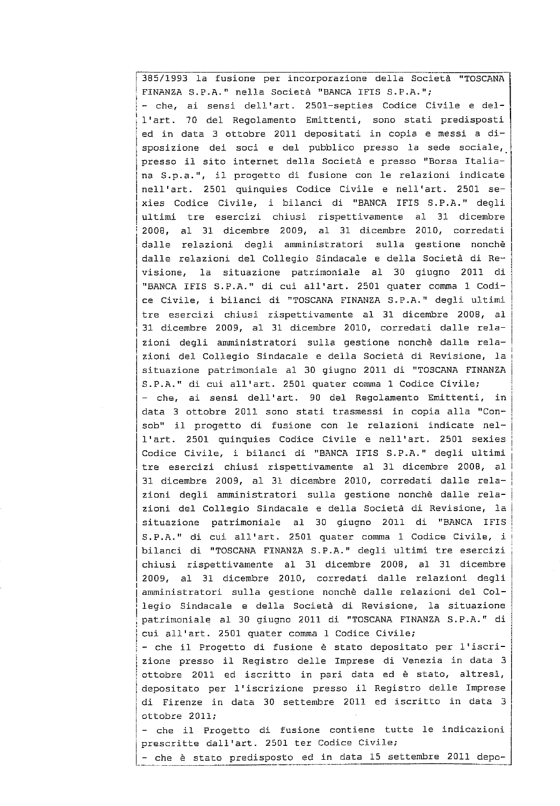385/1993 la fusione per incorporazione della Società "TOSCANA FINANZA S.P.A." nella Società "BANCA IFIS S.P.A."; - che, ai sensi dell'art. 2501-septies Codice Civile e dell'art. 70 del Regolamento Emittenti, sono stati predisposti ed in data 3 ottobre 2011 depositati in copia e messi a disposizione dei soci e del pubblico presso la sede sociale, presso il sito internet della Società e presso "Borsa Italiana S.p.a.", il progetto di fusione con le relazioni indicate nell'art. 2501 quinquies Codice Civile e nell'art. 2501 sexies Codice Civile, i bilanci di "BANCA IFIS S.P.A." degli ultimi tre esercizi chiusi rispettivamente al 31 dicembre 2008, al 31 dicembre 2009, al 31 dicembre 2010, corredati dalle relazioni degli amministratori sulla gestione nonchè dalle relazioni del Collegio Sindacale e della Società di Revisione, la situazione patrimoniale al 30 giugno 2011 di "BANCA IFIS S.P.A." di cui all'art. 2501 quater comma 1 Codice Civile, i bilanci di "TOSCANA FINANZA S.P.A." degli ultimi tre esercizi chiusi rispettivamente al 31 dicembre 2008, al 31 dicembre 2009, al 31 dicembre 2010, corredati dalle relazioni degli amministratori sulla gestione nonchè dalle relazioni del Collegio Sindacale e della Società di Revisione, la situazione patrimoniale al 30 giugno 2011 di "TOSCANA FINANZA S.P.A." di cui all'art. 2501 quater comma 1 Codice Civile; - che, ai sensi dell'art. 90 del Regolamento Emittenti, in data 3 ottobre 2011 sono stati trasmessi in copia alla "Consob" il progetto di fusione con le relazioni indicate nell'art. 2501 quinquies Codice Civile e nell'art. 2501 sexies Codice Civile, i bilanci di "BANCA IFIS S.P.A." degli ultimi tre esercizi chiusi rispettivamente al 31 dicembre 2008, al 31 dicembre 2009, al 31 dicembre 2010, corredati dalle relazioni degli amministratori sulla gestione nonchè dalle relazioni del Collegio Sindacale e della Società di Revisione, la situazione patrimoniale al 30 giugno 2011 di "BANCA IFIS S.P.A." di cui all'art. 2501 quater comma 1 Codice Civile, i bilanci di "TOSCANA FINANZA S.P.A." degli ultimi tre esercizi chiusi rispettivamente al 31 dicembre 2008, al 31 dicembre 2009, al 31 dicembre 2010, corredati dalle relazioni degli amministratori sulla gestione nonchè dalle relazioni del Collegio Sindacale e della Società di Revisione, la situazione patrimoniale al 30 giugno 2011 di "TOSCANA FINANZA S.P.A." di cui all'art. 2501 quater comma 1 Codice Civile; - che il Progetto di fusione è stato depositato per l'iscrizione presso il Registro delle Imprese di Venezia in data 3 ottobre 2011 ed iscritto in pari data ed è stato, altresì, depositato per l'iscrizione presso il Registro delle Imprese di Firenze in data 30 settembre 2011 ed iscritto in data 3 ottobre 2011; che il Progetto di fusione contiene tutte le indicazioni prescritte dall'art. 2501 ter Codice Civile; - che è stato predisposto ed in data 15 settembre 2011 depo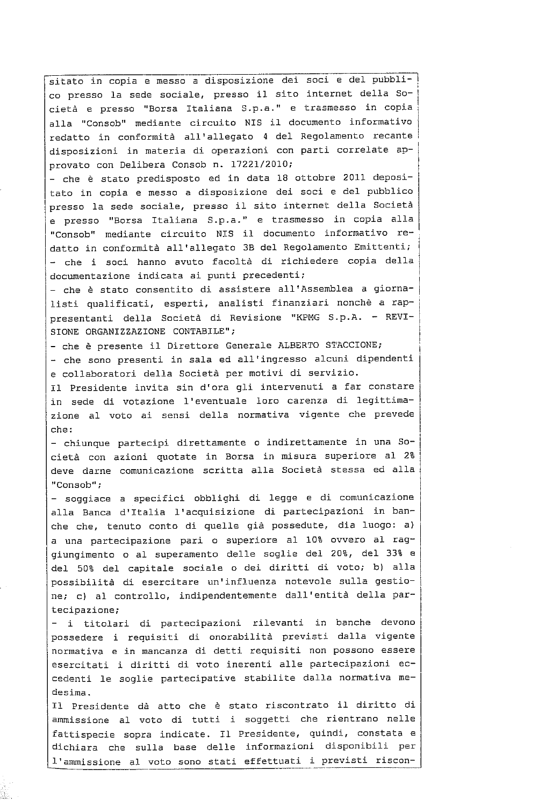sitato in copia e messo a disposizione dei soci e del pubblico presso la sede sociale, presso il sito internet della Società e presso "Borsa Italiana S.p.a." e trasmesso in copia alla "Consob" mediante circuito NIS il documento informativo redatto in conformità all'allegato 4 del Regolamento recante disposizioni in materia di operazioni con parti correlate approvato con Delibera Consob n. 17221/2010; - che è stato predisposto ed in data 18 ottobre 2011 deposi-

tato in copia e messo a disposizione dei soci e del pubblico presso la sede sociale, presso il sito internet della Società e presso "Borsa Italiana S.p.a." e trasmesso in copia alla "Consob" mediante circuito NIS il documento informativo redatto in conformità all'allegato 3B del Regolamento Emittenti; - che i soci hanno avuto facoltà di richiedere copia della documentazione indicata ai punti precedenti;

- che è stato consentito di assistere all'Assemblea a giornalisti qualificati, esperti, analisti finanziari nonchè a rappresentanti della Società di Revisione "KPMG S.p.A. - REVI-SIONE ORGANIZZAZIONE CONTABILE":

- che è presente il Direttore Generale ALBERTO STACCIONE;

- che sono presenti in sala ed all'ingresso alcuni dipendenti e collaboratori della Società per motivi di servizio.

Il Presidente invita sin d'ora gli intervenuti a far constare in sede di votazione l'eventuale loro carenza di legittimazione al voto ai sensi della normativa vigente che prevede che:

- chiunque partecipi direttamente o indirettamente in una Società con azioni quotate in Borsa in misura superiore al 2% deve darne comunicazione scritta alla Società stessa ed alla "Consob";

- soggiace a specifici obblighi di legge e di comunicazione alla Banca d'Italia l'acquisizione di partecipazioni in banche che, tenuto conto di quelle già possedute, dia luogo: a) a una partecipazione pari o superiore al 10% ovvero al raggiungimento o al superamento delle soglie del 20%, del 33% e del 50% del capitale sociale o dei diritti di voto; b) alla possibilità di esercitare un'influenza notevole sulla gestione; c) al controllo, indipendentemente dall'entità della partecipazione;

- i titolari di partecipazioni rilevanti in banche devono possedere i requisiti di onorabilità previsti dalla vigente normativa e in mancanza di detti requisiti non possono essere esercitati i diritti di voto inerenti alle partecipazioni eccedenti le soglie partecipative stabilite dalla normativa medesima.

Il Presidente dà atto che è stato riscontrato il diritto di ammissione al voto di tutti i soggetti che rientrano nelle fattispecie sopra indicate. Il Presidente, quindi, constata e dichiara che sulla base delle informazioni disponibili per l'ammissione al voto sono stati effettuati i previsti riscon-

Í.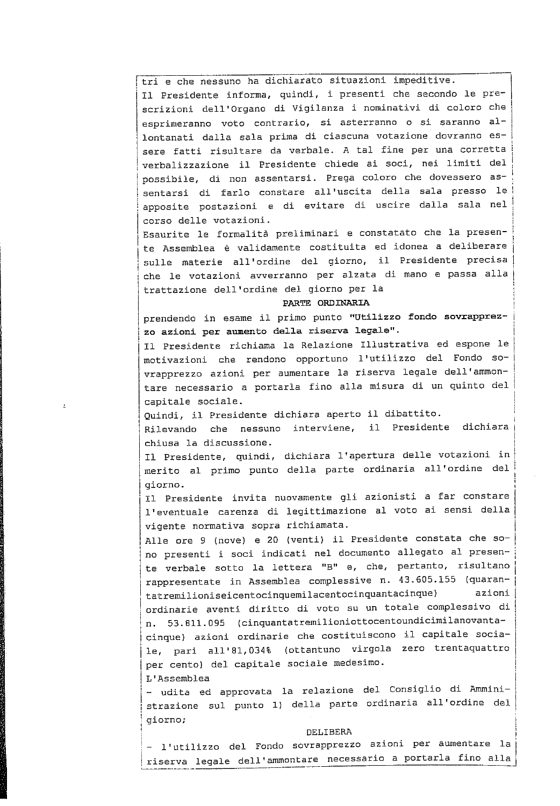tri e che nessuno ha dichiarato situazioni impeditive. Il Presidente informa, quindi, i presenti che secondo le prescrizioni dell'Organo di Vigilanza i nominativi di coloro che esprimeranno voto contrario, si asterranno o si saranno allontanati dalla sala prima di ciascuna votazione dovranno essere fatti risultare da verbale. A tal fine per una corretta verbalizzazione il Presidente chiede ai soci, nei limiti del possibile, di non assentarsi. Prega coloro che dovessero assentarsi di farlo constare all'uscita della sala presso le apposite postazioni e di evitare di uscire dalla sala nel corso delle votazioni.

Esaurite le formalità preliminari e constatato che la presente Assemblea è validamente costituita ed idonea a deliberare sulle materie all'ordine del giorno, il Presidente precisa che le votazioni avverranno per alzata di mano e passa alla trattazione dell'ordine del giorno per la

#### PARTE ORDINARIA

prendendo in esame il primo punto "Utilizzo fondo sovrapprezzo azioni per aumento della riserva legale".

Il Presidente richiama la Relazione Illustrativa ed espone le motivazioni che rendono opportuno l'utilizzo del Fondo sovrapprezzo azioni per aumentare la riserva legale dell'ammontare necessario a portarla fino alla misura di un quinto del capitale sociale.

Quindi, il Presidente dichiara aperto il dibattito.

Rilevando che nessuno interviene, il Presidente dichiara chiusa la discussione.

Il Presidente, quindi, dichiara l'apertura delle votazioni in merito al primo punto della parte ordinaria all'ordine del qiorno.

Il Presidente invita nuovamente gli azionisti a far constare l'eventuale carenza di legittimazione al voto ai sensi della vigente normativa sopra richiamata.

Alle ore 9 (nove) e 20 (venti) il Presidente constata che sono presenti i soci indicati nel documento allegato al presente verbale sotto la lettera "B" e, che, pertanto, risultano rappresentate in Assemblea complessive n. 43.605.155 (quarantatremilioniseicentocinquemilacentocinquantacinque) azioni ordinarie aventi diritto di voto su un totale complessivo di n. 53.811.095 (cinquantatremilioniottocentoundicimilanovantacinque) azioni ordinarie che costituiscono il capitale sociale, pari all'81,034% (ottantuno virgola zero trentaquattro per cento) del capitale sociale medesimo.

L'Assemblea

- udita ed approvata la relazione del Consiglio di Amministrazione sul punto 1) della parte ordinaria all'ordine del qiorno;

#### DELIBERA

- l'utilizzo del Fondo sovrapprezzo azioni per aumentare la riserva legale dell'ammontare necessario a portarla fino alla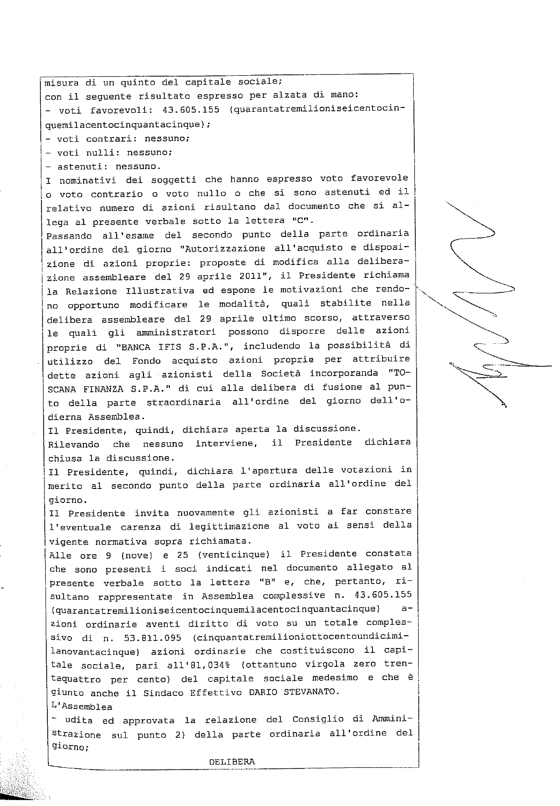misura di un quinto del capitale sociale; con il seguente risultato espresso per alzata di mano: - voti favorevoli: 43.605.155 (quarantatremilioniseicentocinquemilacentocinquantacinque); - voti contrari: nessuno; - voti nulli: nessuno; - astenuti: nessuno. I nominativi dei soggetti che hanno espresso voto favorevole o voto contrario o voto nullo o che si sono astenuti ed il relativo numero di azioni risultano dal documento che si allega al presente verbale sotto la lettera "C". Passando all'esame del secondo punto della parte ordinaria all'ordine del giorno "Autorizzazione all'acquisto e disposizione di azioni proprie: proposte di modifica alla deliberazione assembleare del 29 aprile 2011", il Presidente richiama la Relazione Illustrativa ed espone le motivazioni che rendono opportuno modificare le modalità, quali stabilite nella delibera assembleare del 29 aprile ultimo scorso, attraverso le quali gli amministratori possono disporre delle azioni proprie di "BANCA IFIS S.P.A.", includendo la possibilità di utilizzo del Fondo acquisto azioni proprie per attribuire dette azioni agli azionisti della Società incorporanda "TO-SCANA FINANZA S.P.A." di cui alla delibera di fusione al punto della parte straordinaria all'ordine del giorno dell'odierna Assemblea. Il Presidente, quindi, dichiara aperta la discussione. Rilevando che nessuno interviene, il Presidente dichiara chiusa la discussione. Il Presidente, quindi, dichiara l'apertura delle votazioni in merito al secondo punto della parte ordinaria all'ordine del giorno. Il Presidente invita nuovamente gli azionisti a far constare l'eventuale carenza di legittimazione al voto ai sensi della vigente normativa sopra richiamata. Alle ore 9 (nove) e 25 (venticinque) il Presidente constata che sono presenti i soci indicati nel documento allegato al presente verbale sotto la lettera "B" e, che, pertanto, risultano rappresentate in Assemblea complessive n. 43.605.155 (quarantatremilioniseicentocinquemilacentocinquantacinque)  $a$ zioni ordinarie aventi diritto di voto su un totale complessivo di n. 53.811.095 (cinquantatremilioniottocentoundicimilanovantacinque) azioni ordinarie che costituiscono il capitale sociale, pari all'81,034% (ottantuno virgola zero trentaquattro per cento) del capitale sociale medesimo e che è giunto anche il Sindaco Effettivo DARIO STEVANATO. L'Assemblea - udita ed approvata la relazione del Consiglio di Amministrazione sul punto 2) della parte ordinaria all'ordine del giorno;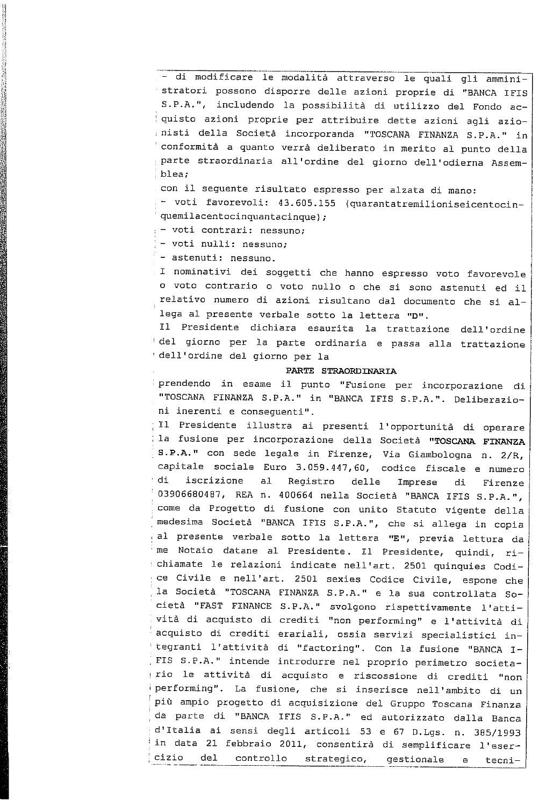- di modificare le modalità attraverso le quali gli amministratori possono disporre delle azioni proprie di "BANCA IFIS S.P.A.", includendo la possibilità di utilizzo del Fondo acquisto azioni proprie per attribuire dette azioni agli azionisti della Società incorporanda "TOSCANA FINANZA S.P.A." in conformità a quanto verrà deliberato in merito al punto della parte straordinaria all'ordine del giorno dell'odierna Assemblea;

con il seguente risultato espresso per alzata di mano:

- voti favorevoli: 43.605.155 (quarantatremilioniseicentocinquemilacentocinquantacinque);

- voti contrari: nessuno;

- voti nulli: nessuno;

- astenuti: nessuno.

I nominativi dei soggetti che hanno espresso voto favorevole o voto contrario o voto nullo o che si sono astenuti ed il relativo numero di azioni risultano dal documento che si allega al presente verbale sotto la lettera "D".

Il Presidente dichiara esaurita la trattazione dell'ordine del giorno per la parte ordinaria e passa alla trattazione dell'ordine del giorno per la

### PARTE STRAORDINARIA

prendendo in esame il punto "Fusione per incorporazione di "TOSCANA FINANZA S.P.A." in "BANCA IFIS S.P.A.". Deliberazioni inerenti e consequenti".

Il Presidente illustra ai presenti l'opportunità di operare la fusione per incorporazione della Società "TOSCANA FINANZA S.P.A." con sede legale in Firenze, Via Giambologna n. 2/R, capitale sociale Euro 3.059.447,60, codice fiscale e numero : di iscrizione  $a1$ Registro delle Imprese di Firenze 03906680487, REA n. 400664 nella Società "BANCA IFIS S.P.A.", come da Progetto di fusione con unito Statuto vigente della medesima Società "BANCA IFIS S.P.A.", che si allega in copia al presente verbale sotto la lettera "E", previa lettura da me Notaio datane al Presidente. Il Presidente, quindi, richiamate le relazioni indicate nell'art. 2501 quinquies Codice Civile e nell'art. 2501 sexies Codice Civile, espone che la Società "TOSCANA FINANZA S.P.A." e la sua controllata Società "FAST FINANCE S.P.A." svolgono rispettivamente l'attività di acquisto di crediti "non performing" e l'attività di acquisto di crediti erariali, ossia servizi specialistici integranti l'attività di "factoring". Con la fusione "BANCA I-FIS S.P.A." intende introdurre nel proprio perimetro societario le attività di acquisto e riscossione di crediti "non performing". La fusione, che si inserisce nell'ambito di un più ampio progetto di acquisizione del Gruppo Toscana Finanza da parte di "BANCA IFIS S.P.A." ed autorizzato dalla Banca d'Italia ai sensi degli articoli 53 e 67 D.Lgs. n. 385/1993 in data 21 febbraio 2011, consentirà di semplificare l'esercizio del controllo strategico, gestionale  $\epsilon$ tecni-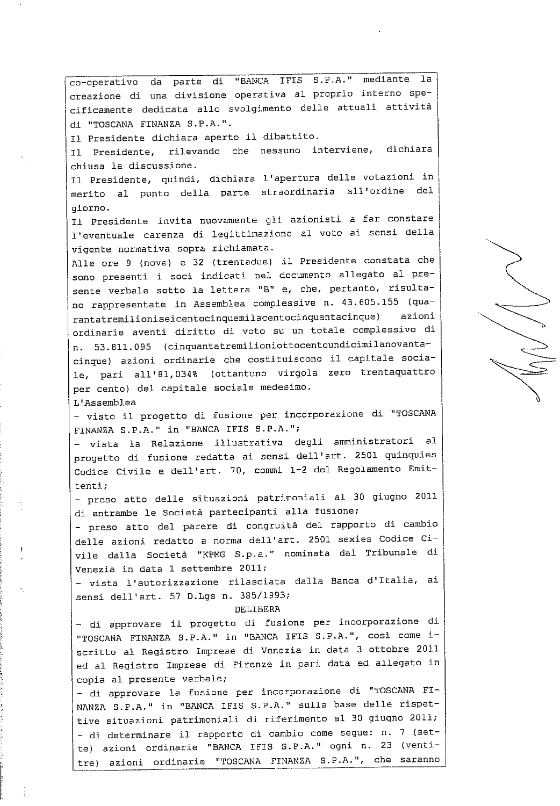da parte di "BANCA IFIS S.P.A." mediante  $1a$ co-operativo creazione di una divisione operativa al proprio interno specificamente dedicata allo svolgimento delle attuali attività di "TOSCANA FINANZA S.P.A.". Il Presidente dichiara aperto il dibattito. rilevando che nessuno interviene, dichiara Il Presidente, chiusa la discussione. Il Presidente, quindi, dichiara l'apertura delle votazioni in merito al punto della parte straordinaria all'ordine del giorno. Il Presidente invita nuovamente gli azionisti a far constare l'eventuale carenza di legittimazione al voto ai sensi della vigente normativa sopra richiamata. Alle ore 9 (nove) e 32 (trentadue) il Presidente constata che sono presenti i soci indicati nel documento allegato al presente verbale sotto la lettera "B" e, che, pertanto, risultano rappresentate in Assemblea complessive n. 43.605.155 (quarantatremilioniseicentocinquemilacentocinquantacinque) azioni ordinarie aventi diritto di voto su un totale complessivo di n. 53.811.095 (cinquantatremilioniottocentoundicimilanovantacinque) azioni ordinarie che costituiscono il capitale sociale, pari all'81,034% (ottantuno virgola zero trentaquattro per cento) del capitale sociale medesimo. L'Assemblea - visto il progetto di fusione per incorporazione di "TOSCANA FINANZA S.P.A." in "BANCA IFIS S.P.A."; - vista la Relazione illustrativa degli amministratori al progetto di fusione redatta ai sensi dell'art. 2501 quinquies Codice Civile e dell'art. 70, commi 1-2 del Regolamento Emittenti: - preso atto delle situazioni patrimoniali al 30 giugno 2011 di entrambe le Società partecipanti alla fusione; - preso atto del parere di congruità del rapporto di cambio delle azioni redatto a norma dell'art. 2501 sexies Codice Civile dalla Società "KPMG S.p.a." nominata dal Tribunale di Venezia in data 1 settembre 2011; - vista l'autorizzazione rilasciata dalla Banca d'Italia, ai sensi dell'art. 57 D.Lgs n. 385/1993; DELIBERA - di approvare il progetto di fusione per incorporazione di "TOSCANA FINANZA S.P.A." in "BANCA IFIS S.P.A.", così come iscritto al Registro Imprese di Venezia in data 3 ottobre 2011 ed al Registro Imprese di Firenze in pari data ed allegato in copia al presente verbale; - di approvare la fusione per incorporazione di "TOSCANA FI-NANZA S.P.A." in "BANCA IFIS S.P.A." sulla base delle rispettive situazioni patrimoniali di riferimento al 30 giugno 2011; - di determinare il rapporto di cambio come segue: n. 7 (sette) azioni ordinarie "BANCA IFIS S.P.A." ogni n. 23 (ventitre) azioni ordinarie "TOSCANA FINANZA S.P.A.", che saranno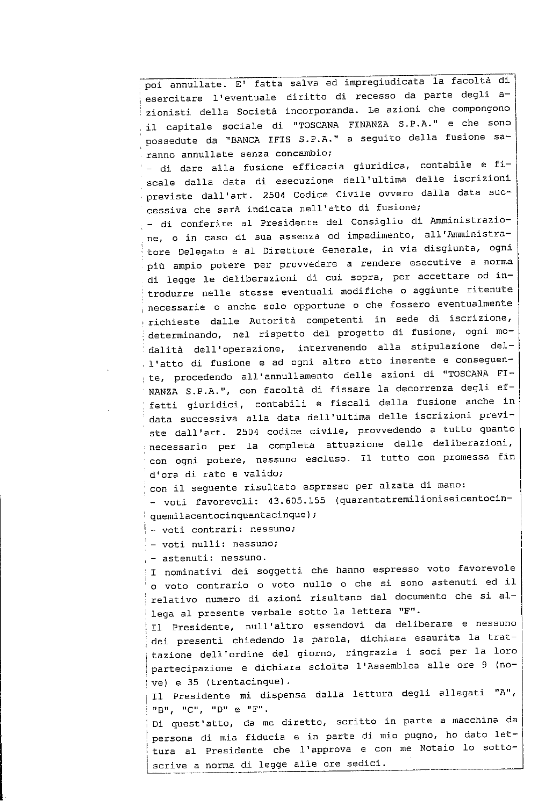poi annullate. E' fatta salva ed impregiudicata la facoltà di esercitare l'eventuale diritto di recesso da parte degli azionisti della Società incorporanda. Le azioni che compongono il capitale sociale di "TOSCANA FINANZA S.P.A." e che sono possedute da "BANCA IFIS S.P.A." a seguito della fusione saranno annullate senza concambio; - di dare alla fusione efficacia giuridica, contabile e fiscale dalla data di esecuzione dell'ultima delle iscrizioni previste dall'art. 2504 Codice Civile ovvero dalla data successiva che sarà indicata nell'atto di fusione; - di conferire al Presidente del Consiglio di Amministrazione, o in caso di sua assenza od impedimento, all'Amministratore Delegato e al Direttore Generale, in via disgiunta, ogni più ampio potere per provvedere a rendere esecutive a norma di legge le deliberazioni di cui sopra, per accettare od introdurre nelle stesse eventuali modifiche o aggiunte ritenute necessarie o anche solo opportune o che fossero eventualmente richieste dalle Autorità competenti in sede di iscrizione, determinando, nel rispetto del progetto di fusione, ogni modalità dell'operazione, intervenendo alla stipulazione del-. l'atto di fusione e ad ogni altro atto inerente e conseguente, procedendo all'annullamento delle azioni di "TOSCANA FI-NANZA S.P.A.", con facoltà di fissare la decorrenza degli effetti giuridici, contabili e fiscali della fusione anche in data successiva alla data dell'ultima delle iscrizioni previste dall'art. 2504 codice civile, provvedendo a tutto quanto necessario per la completa attuazione delle deliberazioni, con ogni potere, nessuno escluso. Il tutto con promessa fin d'ora di rato e valido; con il seguente risultato espresso per alzata di mano: - voti favorevoli: 43.605.155 (quarantatremilioniseicentocinquemilacentocinquantacinque);  $\vert$  - voti contrari: nessuno; - voti nulli: nessuno; - astenuti: nessuno. I nominativi dei soggetti che hanno espresso voto favorevole o voto contrario o voto nullo o che si sono astenuti ed il relativo numero di azioni risultano dal documento che si allega al presente verbale sotto la lettera "F". Il Presidente, null'altro essendovi da deliberare e nessuno dei presenti chiedendo la parola, dichiara esaurita la trattazione dell'ordine del giorno, ringrazia i soci per la loro partecipazione e dichiara sciolta l'Assemblea alle ore 9 (nove) e 35 (trentacinque). Il Presidente mi dispensa dalla lettura degli allegati "A", "B", "C", "D" e "F". Di quest'atto, da me diretto, scritto in parte a macchina da persona di mia fiducia e in parte di mio pugno, ho dato lettura al Presidente che l'approva e con me Notaio lo sottoscrive a norma di legge alle ore sedici.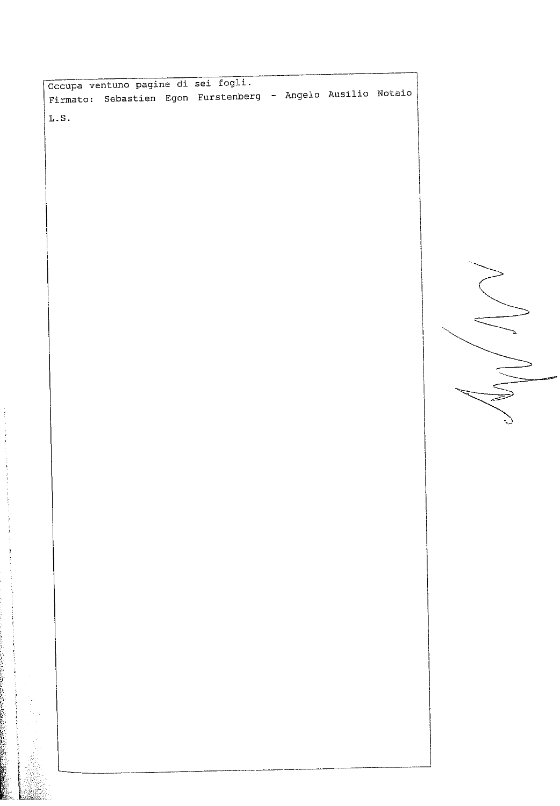|       |  | Occupa ventuno pagine di sei fogli.                         |  |  |
|-------|--|-------------------------------------------------------------|--|--|
|       |  | Firmato: Sebastien Egon Furstenberg - Angelo Ausilio Notaio |  |  |
| 1. S. |  |                                                             |  |  |



**CONTRACTORS** 

 $\frac{1}{2}$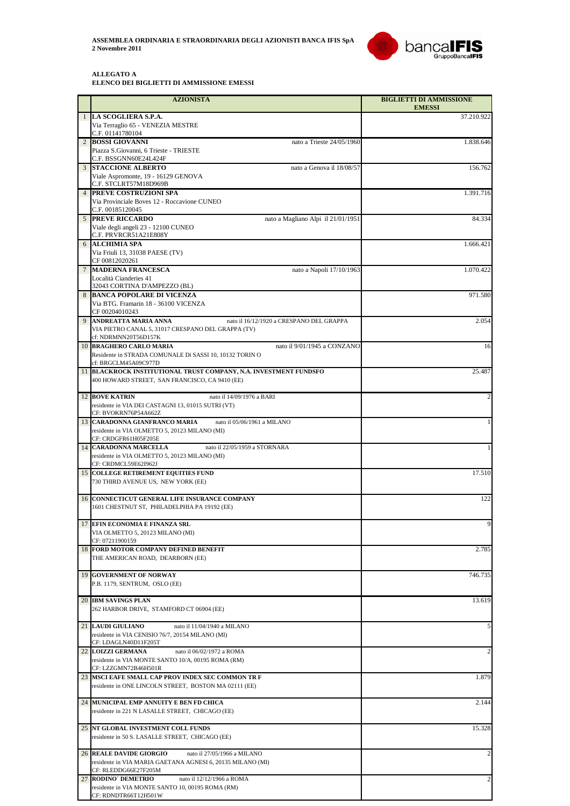

#### **ALLEGATO A ELENCO DEI BIGLIETTI DI AMMISSIONE EMESSI**

| <b>AZIONISTA</b>                                                                                                         | <b>BIGLIETTI DI AMMISSIONE</b><br><b>EMESSI</b> |
|--------------------------------------------------------------------------------------------------------------------------|-------------------------------------------------|
| 1 LA SCOGLIERA S.P.A.                                                                                                    | 37.210.922                                      |
| Via Terraglio 65 - VENEZIA MESTRE                                                                                        |                                                 |
| C.F. 01141780104                                                                                                         |                                                 |
| 2 BOSSI GIOVANNI<br>nato a Trieste 24/05/1960                                                                            | 1.838.646                                       |
| Piazza S. Giovanni, 6 Trieste - TRIESTE                                                                                  |                                                 |
| C.F. BSSGNN60E24L424F                                                                                                    |                                                 |
| <b>3 STACCIONE ALBERTO</b><br>nato a Genova il 18/08/57                                                                  | 156.762                                         |
| Viale Aspromonte, 19 - 16129 GENOVA                                                                                      |                                                 |
| C.F. STCLRT57M18D969B<br><b>4 PREVE COSTRUZIONI SPA</b>                                                                  | 1.391.716                                       |
| Via Provinciale Boves 12 - Roccavione CUNEO                                                                              |                                                 |
| C.F. 00185120045                                                                                                         |                                                 |
| <b>5 PREVE RICCARDO</b><br>nato a Magliano Alpi il 21/01/1951                                                            | 84.334                                          |
| Viale degli angeli 23 - 12100 CUNEO                                                                                      |                                                 |
| C.F. PRVRCR51A21E808Y                                                                                                    |                                                 |
| <b>6 ALCHIMIA SPA</b>                                                                                                    | 1.666.421                                       |
| Via Friuli 13, 31038 PAESE (TV)                                                                                          |                                                 |
| CF 00812020261                                                                                                           |                                                 |
| <b>7 MADERNA FRANCESCA</b><br>nato a Napoli 17/10/1963<br>Località Cianderies 41                                         | 1.070.422                                       |
| 32043 CORTINA D'AMPEZZO (BL)                                                                                             |                                                 |
| <b>8 BANCA POPOLARE DI VICENZA</b>                                                                                       | 971.580                                         |
| Via BTG. Framarin 18 - 36100 VICENZA                                                                                     |                                                 |
| CF 00204010243                                                                                                           |                                                 |
| 9 ANDREATTA MARIA ANNA<br>nato il 16/12/1920 a CRESPANO DEL GRAPPA                                                       | 2.054                                           |
| VIA PIETRO CANAL 5, 31017 CRESPANO DEL GRAPPA (TV)                                                                       |                                                 |
| cf: NDRMNN20T56D157K                                                                                                     |                                                 |
| <b>10 BRAGHERO CARLO MARIA</b><br>nato il 9/01/1945 a CONZANO<br>Residente in STRADA COMUNALE Di SASSI 10, 10132 TORIN O | 16                                              |
| cf: BRGCLM45A09C977D                                                                                                     |                                                 |
| 11 BLACKROCK INSTITUTIONAL TRUST COMPANY, N.A. INVESTMENT FUNDSFO                                                        | 25.487                                          |
| 400 HOWARD STREET, SAN FRANCISCO, CA 9410 (EE)                                                                           |                                                 |
|                                                                                                                          |                                                 |
| <b>12 BOVE KATRIN</b><br>nato il 14/09/1976 a BARI                                                                       |                                                 |
| residente in VIA DEI CASTAGNI 13, 01015 SUTRI (VT)                                                                       |                                                 |
| CF: BVOKRN76P54A662Z                                                                                                     |                                                 |
| <b>13 CARADONNA GIANFRANCO MARIA</b><br>nato il 05/06/1961 a MILANO                                                      |                                                 |
| residente in VIA OLMETTO 5, 20123 MILANO (MI)<br>CF: CRDGFR61H05F205E                                                    |                                                 |
| <b>14 CARADONNA MARCELLA</b><br>nato il 22/05/1959 a STORNARA                                                            |                                                 |
| residente in VIA OLMETTO 5, 20123 MILANO (MI)                                                                            |                                                 |
| CF: CRDMCL59E62I962J                                                                                                     |                                                 |
| <b>15 COLLEGE RETIREMENT EQUITIES FUND</b>                                                                               | 17.510                                          |
| 730 THIRD AVENUE US, NEW YORK (EE)                                                                                       |                                                 |
|                                                                                                                          |                                                 |
| <b>16 CONNECTICUT GENERAL LIFE INSURANCE COMPANY</b>                                                                     | 122                                             |
| 1601 CHESTNUT ST, PHILADELPHIA PA 19192 (EE)                                                                             |                                                 |
| <b>17 EFIN ECONOMIA E FINANZA SRL</b>                                                                                    | 9                                               |
| VIA OLMETTO 5, 20123 MILANO (MI)                                                                                         |                                                 |
| CF: 07211900159                                                                                                          |                                                 |
| <b>18 FORD MOTOR COMPANY DEFINED BENEFIT</b>                                                                             | 2.785                                           |
| THE AMERICAN ROAD, DEARBORN (EE)                                                                                         |                                                 |
|                                                                                                                          |                                                 |
| <b>19 GOVERNMENT OF NORWAY</b>                                                                                           | 746.735                                         |
| P.B. 1179, SENTRUM, OSLO (EE)                                                                                            |                                                 |
| <b>20 IBM SAVINGS PLAN</b>                                                                                               | 13.619                                          |
| 262 HARBOR DRIVE, STAMFORD CT 06904 (EE)                                                                                 |                                                 |
|                                                                                                                          |                                                 |
| 21 LAUDI GIULIANO<br>nato il 11/04/1940 a MILANO                                                                         | 5                                               |
| residente in VIA CENISIO 76/7, 20154 MILANO (MI)                                                                         |                                                 |
| CF: LDAGLN40D11F205T                                                                                                     |                                                 |
| 22 LOIZZI GERMANA<br>nato il 06/02/1972 a ROMA                                                                           | 2                                               |
| residente in VIA MONTE SANTO 10/A, 00195 ROMA (RM)<br>CF: LZZGMN72B46H501R                                               |                                                 |
| 23 MSCI EAFE SMALL CAP PROV INDEX SEC COMMON TR F                                                                        | 1.879                                           |
| residente in ONE LINCOLN STREET, BOSTON MA 02111 (EE)                                                                    |                                                 |
|                                                                                                                          |                                                 |
| 24 MUNICIPAL EMP ANNUITY E BEN FD CHICA                                                                                  | 2.144                                           |
| residente in 221 N LASALLE STREET, CHICAGO (EE)                                                                          |                                                 |
|                                                                                                                          |                                                 |
| 25 NT GLOBAL INVESTMENT COLL FUNDS                                                                                       | 15.328                                          |
| residente in 50 S. LASALLE STREET, CHICAGO (EE)                                                                          |                                                 |
| <b>26 REALE DAVIDE GIORGIO</b><br>nato il 27/05/1966 a MILANO                                                            | $\overline{2}$                                  |
| residente in VIA MARIA GAETANA AGNESI 6, 20135 MILANO (MI)                                                               |                                                 |
| CF: RLEDDG66E27F205M                                                                                                     |                                                 |
| 27 RODINO' DEMETRIO<br>nato il 12/12/1966 a ROMA                                                                         | $\overline{c}$                                  |
| residente in VIA MONTE SANTO 10, 00195 ROMA (RM)                                                                         |                                                 |
| CF: RDNDTR66T12H501W                                                                                                     |                                                 |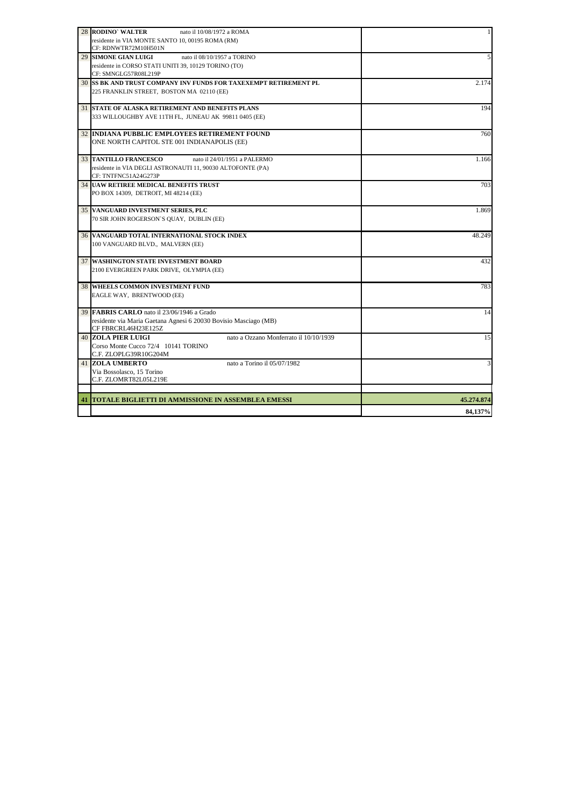| residente in VIA MONTE SANTO 10, 00195 ROMA (RM)<br>CF: RDNWTR72M10H501N<br><b>29 SIMONE GIAN LUIGI</b><br>nato il 08/10/1957 a TORINO<br>residente in CORSO STATI UNITI 39, 10129 TORINO (TO) | 5<br>2.174 |
|------------------------------------------------------------------------------------------------------------------------------------------------------------------------------------------------|------------|
|                                                                                                                                                                                                |            |
|                                                                                                                                                                                                |            |
|                                                                                                                                                                                                |            |
|                                                                                                                                                                                                |            |
| CF: SMNGLG57R08L219P                                                                                                                                                                           |            |
| <b>30 SS BK AND TRUST COMPANY INV FUNDS FOR TAXEXEMPT RETIREMENT PL</b>                                                                                                                        |            |
| 225 FRANKLIN STREET, BOSTON MA 02110 (EE)                                                                                                                                                      |            |
| <b>31 STATE OF ALASKA RETIREMENT AND BENEFITS PLANS</b>                                                                                                                                        | 194        |
| 333 WILLOUGHBY AVE 11TH FL, JUNEAU AK 99811 0405 (EE)                                                                                                                                          |            |
| <b>32 INDIANA PUBBLIC EMPLOYEES RETIREMENT FOUND</b>                                                                                                                                           | 760        |
| ONE NORTH CAPITOL STE 001 INDIANAPOLIS (EE)                                                                                                                                                    |            |
| <b>33 TANTILLO FRANCESCO</b><br>nato il 24/01/1951 a PALERMO                                                                                                                                   | 1.166      |
| residente in VIA DEGLI ASTRONAUTI 11, 90030 ALTOFONTE (PA)                                                                                                                                     |            |
| CF: TNTFNC51A24G273P                                                                                                                                                                           |            |
| <b>34 UAW RETIREE MEDICAL BENEFITS TRUST</b><br>PO BOX 14309, DETROIT, MI 48214 (EE)                                                                                                           | 703        |
|                                                                                                                                                                                                |            |
| <b>35 VANGUARD INVESTMENT SERIES, PLC</b>                                                                                                                                                      | 1.869      |
| 70 SIR JOHN ROGERSON'S QUAY, DUBLIN (EE)                                                                                                                                                       |            |
|                                                                                                                                                                                                |            |
| <b>36 VANGUARD TOTAL INTERNATIONAL STOCK INDEX</b>                                                                                                                                             | 48.249     |
| 100 VANGUARD BLVD., MALVERN (EE)                                                                                                                                                               |            |
| <b>37 WASHINGTON STATE INVESTMENT BOARD</b>                                                                                                                                                    | 432        |
| 2100 EVERGREEN PARK DRIVE, OLYMPIA (EE)                                                                                                                                                        |            |
|                                                                                                                                                                                                |            |
| <b>38 WHEELS COMMON INVESTMENT FUND</b>                                                                                                                                                        | 783        |
| EAGLE WAY, BRENTWOOD (EE)                                                                                                                                                                      |            |
| 39 FABRIS CARLO nato il 23/06/1946 a Grado                                                                                                                                                     | 14         |
| residente via Maria Gaetana Agnesi 6 20030 Bovisio Masciago (MB)                                                                                                                               |            |
| CF FBRCRL46H23E125Z                                                                                                                                                                            |            |
| <b>40 ZOLA PIER LUIGI</b><br>nato a Ozzano Monferrato il 10/10/1939                                                                                                                            | 15         |
| Corso Monte Cucco 72/4 10141 TORINO<br>C.F. ZLOPLG39R10G204M                                                                                                                                   |            |
| <b>41 ZOLA UMBERTO</b><br>nato a Torino il 05/07/1982                                                                                                                                          | 3          |
| Via Bossolasco, 15 Torino                                                                                                                                                                      |            |
| C.F. ZLOMRT82L05L219E                                                                                                                                                                          |            |
|                                                                                                                                                                                                |            |
| TOTALE BIGLIETTI DI AMMISSIONE IN ASSEMBLEA EMESSI<br>41                                                                                                                                       | 45.274.874 |
|                                                                                                                                                                                                | 84,137%    |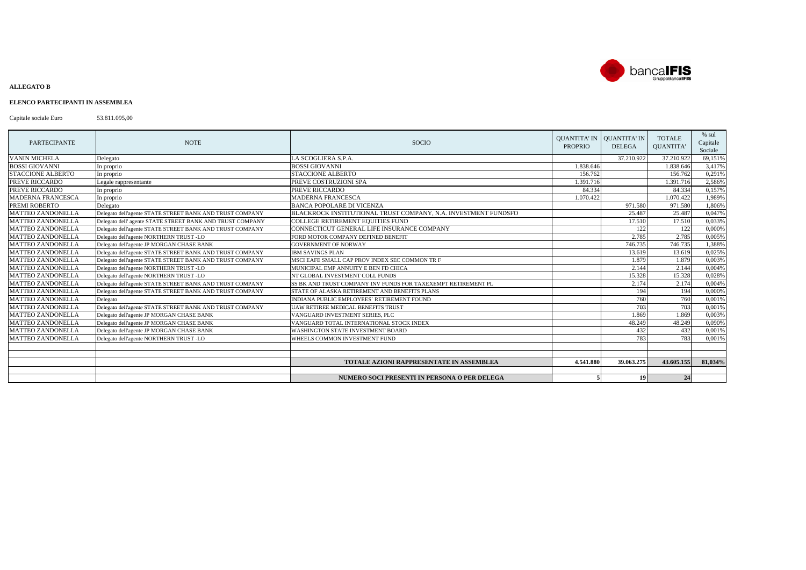

#### **ALLEGATO B**

#### **ELENCO PARTECIPANTI IN ASSEMBLEA**

| <b>PARTECIPANTE</b>      | <b>NOTE</b>                                               | <b>SOCIO</b>                                                   | <b>QUANTITA' IN   QUANTITA' IN</b><br><b>PROPRIO</b> | <b>DELEGA</b> | <b>TOTALE</b><br><b>QUANTITA</b> | $%$ sul<br>Capitale<br>Sociale |
|--------------------------|-----------------------------------------------------------|----------------------------------------------------------------|------------------------------------------------------|---------------|----------------------------------|--------------------------------|
| <b>VANIN MICHELA</b>     | Delegato                                                  | LA SCOGLIERA S.P.A.                                            |                                                      | 37.210.922    | 37.210.922                       | 69,151%                        |
| <b>BOSSI GIOVANNI</b>    | In proprio                                                | <b>BOSSI GIOVANNI</b>                                          | 1.838.646                                            |               | 1.838.646                        | 3,417%                         |
| <b>STACCIONE ALBERTO</b> | In proprio                                                | <b>STACCIONE ALBERTO</b>                                       | 156,762                                              |               | 156.762                          | 0,291%                         |
| PREVE RICCARDO           | Legale rappresentante                                     | PREVE COSTRUZIONI SPA                                          | 1.391.716                                            |               | 1.391.716                        | 2,586%                         |
| PREVE RICCARDO           | In proprio                                                | PREVE RICCARDO                                                 | 84.334                                               |               | 84.334                           | 0,157%                         |
| <b>MADERNA FRANCESCA</b> | In proprio                                                | <b>MADERNA FRANCESCA</b>                                       | 1.070.422                                            |               | 1.070.422                        | 1,989%                         |
| PREMI ROBERTO            | Delegato                                                  | <b>BANCA POPOLARE DI VICENZA</b>                               |                                                      | 971.580       | 971.580                          | 1,806%                         |
| <b>MATTEO ZANDONELLA</b> | Delegato dell'agente STATE STREET BANK AND TRUST COMPANY  | BLACKROCK INSTITUTIONAL TRUST COMPANY, N.A. INVESTMENT FUNDSFO |                                                      | 25.487        | 25.487                           | 0,047%                         |
| <b>MATTEO ZANDONELLA</b> | Delegato dell' agente STATE STREET BANK AND TRUST COMPANY | COLLEGE RETIREMENT EQUITIES FUND                               |                                                      | 17.510        | 17.510                           | 0,033%                         |
| <b>MATTEO ZANDONELLA</b> | Delegato dell'agente STATE STREET BANK AND TRUST COMPANY  | CONNECTICUT GENERAL LIFE INSURANCE COMPANY                     |                                                      | 122           | 122                              | 0,000%                         |
| <b>MATTEO ZANDONELLA</b> | Delegato dell'agente NORTHERN TRUST -LO                   | FORD MOTOR COMPANY DEFINED BENEFIT                             |                                                      | 2.785         | 2.785                            | 0,005%                         |
| <b>MATTEO ZANDONELLA</b> | Delegato dell'agente JP MORGAN CHASE BANK                 | <b>GOVERNMENT OF NORWAY</b>                                    |                                                      | 746.735       | 746.735                          | 1,388%                         |
| <b>MATTEO ZANDONELLA</b> | Delegato dell'agente STATE STREET BANK AND TRUST COMPANY  | <b>IBM SAVINGS PLAN</b>                                        |                                                      | 13.619        | 13.619                           | 0,025%                         |
| <b>MATTEO ZANDONELLA</b> | Delegato dell'agente STATE STREET BANK AND TRUST COMPANY  | MSCI EAFE SMALL CAP PROV INDEX SEC COMMON TR F                 |                                                      | 1.879         | 1.879                            | 0,003%                         |
| <b>MATTEO ZANDONELLA</b> | Delegato dell'agente NORTHERN TRUST -LO                   | MUNICIPAL EMP ANNUITY E BEN FD CHICA                           |                                                      | 2.144         | 2.144                            | 0,004%                         |
| <b>MATTEO ZANDONELLA</b> | Delegato dell'agente NORTHERN TRUST -LO                   | NT GLOBAL INVESTMENT COLL FUNDS                                |                                                      | 15.328        | 15.328                           | 0,028%                         |
| <b>MATTEO ZANDONELLA</b> | Delegato dell'agente STATE STREET BANK AND TRUST COMPANY  | SS BK AND TRUST COMPANY INV FUNDS FOR TAXEXEMPT RETIREMENT PL  |                                                      | 2.174         | 2.174                            | 0,004%                         |
| <b>MATTEO ZANDONELLA</b> | Delegato dell'agente STATE STREET BANK AND TRUST COMPANY  | STATE OF ALASKA RETIREMENT AND BENEFITS PLANS                  |                                                      | 194           | 194                              | 0,000%                         |
| <b>MATTEO ZANDONELLA</b> | Delegato                                                  | INDIANA PUBLIC EMPLOYEES' RETIREMENT FOUND                     |                                                      | 760           | 760                              | 0,001%                         |
| <b>MATTEO ZANDONELLA</b> | Delegato dell'agente STATE STREET BANK AND TRUST COMPANY  | <b>UAW RETIREE MEDICAL BENEFITS TRUST</b>                      |                                                      | 703           | 703                              | 0,001%                         |
| <b>MATTEO ZANDONELLA</b> | Delegato dell'agente JP MORGAN CHASE BANK                 | VANGUARD INVESTMENT SERIES. PLC                                |                                                      | 1.869         | 1.869                            | 0,003%                         |
| <b>MATTEO ZANDONELLA</b> | Delegato dell'agente JP MORGAN CHASE BANK                 | VANGUARD TOTAL INTERNATIONAL STOCK INDEX                       |                                                      | 48.249        | 48.249                           | 0,090%                         |
| <b>MATTEO ZANDONELLA</b> | Delegato dell'agente JP MORGAN CHASE BANK                 | <b>WASHINGTON STATE INVESTMENT BOARD</b>                       |                                                      | 432           | 432                              | 0,001%                         |
| <b>MATTEO ZANDONELLA</b> | Delegato dell'agente NORTHERN TRUST -LO                   | WHEELS COMMON INVESTMENT FUND                                  |                                                      | 783           | 783                              | 0,001%                         |
|                          |                                                           |                                                                |                                                      |               |                                  |                                |
|                          |                                                           |                                                                |                                                      |               |                                  |                                |
|                          |                                                           | <b>TOTALE AZIONI RAPPRESENTATE IN ASSEMBLEA</b>                | 4.541.880                                            | 39.063.275    | 43.605.155                       | 81.034%                        |
|                          |                                                           |                                                                |                                                      |               |                                  |                                |
|                          |                                                           | NUMERO SOCI PRESENTI IN PERSONA O PER DELEGA                   |                                                      | <b>19</b>     | 24                               |                                |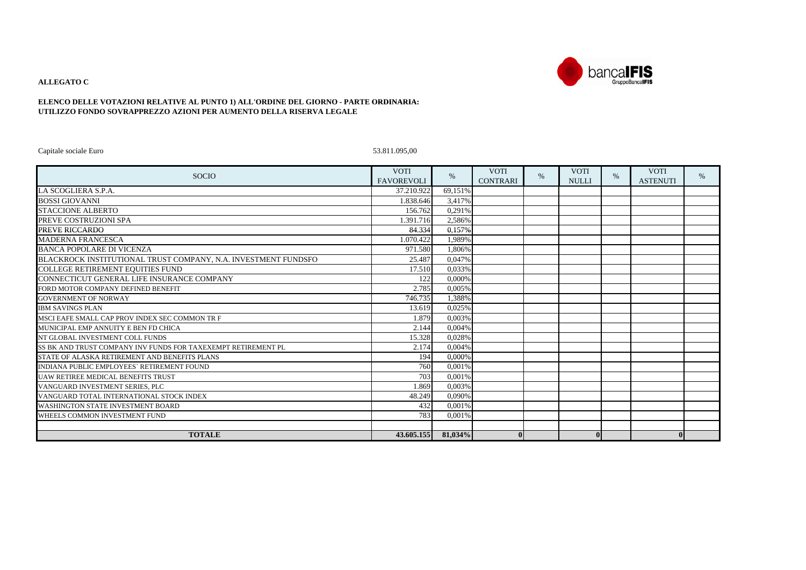

**ALLEGATO C**

### ELENCO DELLE VOTAZIONI RELATIVE AL PUNTO 1) ALL'ORDINE DEL GIORNO - PARTE ORDINARIA: **UTILIZZO FONDO SOVRAPPREZZO AZIONI PER AUMENTO DELLA RISERVA LEGALE**

| <b>SOCIO</b>                                                   | <b>VOTI</b><br><b>FAVOREVOLI</b> | $\%$    | <b>VOTI</b><br><b>CONTRARI</b> | $\%$ | <b>VOTI</b><br><b>NULLI</b> | $\%$ | <b>VOTI</b><br><b>ASTENUTI</b> | $\%$ |
|----------------------------------------------------------------|----------------------------------|---------|--------------------------------|------|-----------------------------|------|--------------------------------|------|
| LA SCOGLIERA S.P.A.                                            | 37.210.922                       | 69.151% |                                |      |                             |      |                                |      |
| <b>BOSSI GIOVANNI</b>                                          | 1.838.646                        | 3,417%  |                                |      |                             |      |                                |      |
| STACCIONE ALBERTO                                              | 156.762                          | 0,291%  |                                |      |                             |      |                                |      |
| PREVE COSTRUZIONI SPA                                          | 1.391.716                        | 2,586%  |                                |      |                             |      |                                |      |
| <b>PREVE RICCARDO</b>                                          | 84.334                           | 0,157%  |                                |      |                             |      |                                |      |
| <b>MADERNA FRANCESCA</b>                                       | 1.070.422                        | 1.989%  |                                |      |                             |      |                                |      |
| <b>BANCA POPOLARE DI VICENZA</b>                               | 971.580                          | 1,806%  |                                |      |                             |      |                                |      |
| BLACKROCK INSTITUTIONAL TRUST COMPANY, N.A. INVESTMENT FUNDSFO | 25.487                           | 0.047%  |                                |      |                             |      |                                |      |
| COLLEGE RETIREMENT EQUITIES FUND                               | 17.510                           | 0.033%  |                                |      |                             |      |                                |      |
| CONNECTICUT GENERAL LIFE INSURANCE COMPANY                     | 122                              | 0,000%  |                                |      |                             |      |                                |      |
| FORD MOTOR COMPANY DEFINED BENEFIT                             | 2.785                            | 0.005%  |                                |      |                             |      |                                |      |
| <b>GOVERNMENT OF NORWAY</b>                                    | 746.735                          | 1,388%  |                                |      |                             |      |                                |      |
| <b>IBM SAVINGS PLAN</b>                                        | 13.619                           | 0,025%  |                                |      |                             |      |                                |      |
| MSCI EAFE SMALL CAP PROV INDEX SEC COMMON TR F                 | 1.879                            | 0.003%  |                                |      |                             |      |                                |      |
| MUNICIPAL EMP ANNUITY E BEN FD CHICA                           | 2.144                            | 0,004%  |                                |      |                             |      |                                |      |
| NT GLOBAL INVESTMENT COLL FUNDS                                | 15.328                           | 0,028%  |                                |      |                             |      |                                |      |
| SS BK AND TRUST COMPANY INV FUNDS FOR TAXEXEMPT RETIREMENT PL  | 2.174                            | 0,004%  |                                |      |                             |      |                                |      |
| STATE OF ALASKA RETIREMENT AND BENEFITS PLANS                  | 194                              | 0,000%  |                                |      |                             |      |                                |      |
| INDIANA PUBLIC EMPLOYEES' RETIREMENT FOUND                     | 760                              | 0,001%  |                                |      |                             |      |                                |      |
| <b>UAW RETIREE MEDICAL BENEFITS TRUST</b>                      | 703                              | 0.001%  |                                |      |                             |      |                                |      |
| VANGUARD INVESTMENT SERIES. PLC                                | 1.869                            | 0,003%  |                                |      |                             |      |                                |      |
| VANGUARD TOTAL INTERNATIONAL STOCK INDEX                       | 48.249                           | 0.090%  |                                |      |                             |      |                                |      |
| <b>WASHINGTON STATE INVESTMENT BOARD</b>                       | 432                              | 0,001%  |                                |      |                             |      |                                |      |
| WHEELS COMMON INVESTMENT FUND                                  | 783                              | 0.001%  |                                |      |                             |      |                                |      |
|                                                                |                                  |         |                                |      |                             |      |                                |      |
| <b>TOTALE</b>                                                  | 43.605.155                       | 81,034% | $\bf{0}$                       |      | $\mathbf{0}$                |      | $\mathbf{0}$                   |      |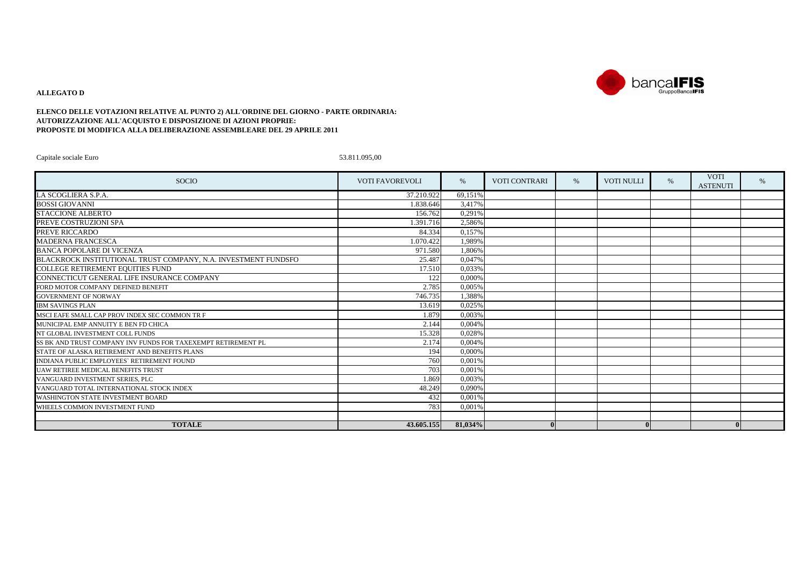

### **ALLEGATO D**

### **ELENCO DELLE VOTAZIONI RELATIVE AL PUNTO 2) ALL'ORDINE DEL GIORNO - PARTE ORDINARIA: AUTORIZZAZIONE ALL'ACQUISTO E DISPOSIZIONE DI AZIONI PROPRIE: PROPOSTE DI MODIFICA ALLA DELIBERAZIONE ASSEMBLEARE DEL 29 APRILE 2011**

| <b>SOCIO</b>                                                   | <b>VOTI FAVOREVOLI</b> | %       | <b>VOTI CONTRARI</b> | % | <b>VOTI NULLI</b> | % | <b>VOTI</b><br><b>ASTENUTI</b> | $\%$ |
|----------------------------------------------------------------|------------------------|---------|----------------------|---|-------------------|---|--------------------------------|------|
| LA SCOGLIERA S.P.A.                                            | 37.210.922             | 69,151% |                      |   |                   |   |                                |      |
| <b>BOSSI GIOVANNI</b>                                          | 1.838.646              | 3.417%  |                      |   |                   |   |                                |      |
| <b>STACCIONE ALBERTO</b>                                       | 156.762                | 0,291%  |                      |   |                   |   |                                |      |
| PREVE COSTRUZIONI SPA                                          | 1.391.716              | 2,586%  |                      |   |                   |   |                                |      |
| PREVE RICCARDO                                                 | 84.334                 | 0.157%  |                      |   |                   |   |                                |      |
| <b>MADERNA FRANCESCA</b>                                       | 1.070.422              | 1,989%  |                      |   |                   |   |                                |      |
| <b>BANCA POPOLARE DI VICENZA</b>                               | 971.580                | 1,806%  |                      |   |                   |   |                                |      |
| BLACKROCK INSTITUTIONAL TRUST COMPANY, N.A. INVESTMENT FUNDSFO | 25.487                 | 0,047%  |                      |   |                   |   |                                |      |
| COLLEGE RETIREMENT EQUITIES FUND                               | 17.510                 | 0.033%  |                      |   |                   |   |                                |      |
| CONNECTICUT GENERAL LIFE INSURANCE COMPANY                     | 122                    | 0,000%  |                      |   |                   |   |                                |      |
| FORD MOTOR COMPANY DEFINED BENEFIT                             | 2.785                  | 0,005%  |                      |   |                   |   |                                |      |
| <b>GOVERNMENT OF NORWAY</b>                                    | 746.735                | 1,388%  |                      |   |                   |   |                                |      |
| <b>IBM SAVINGS PLAN</b>                                        | 13.619                 | 0,025%  |                      |   |                   |   |                                |      |
| MSCI EAFE SMALL CAP PROV INDEX SEC COMMON TR F                 | 1.879                  | 0,003%  |                      |   |                   |   |                                |      |
| MUNICIPAL EMP ANNUITY E BEN FD CHICA                           | 2.144                  | 0,004%  |                      |   |                   |   |                                |      |
| NT GLOBAL INVESTMENT COLL FUNDS                                | 15.328                 | 0.028%  |                      |   |                   |   |                                |      |
| SS BK AND TRUST COMPANY INV FUNDS FOR TAXEXEMPT RETIREMENT PL  | 2.174                  | 0.004%  |                      |   |                   |   |                                |      |
| STATE OF ALASKA RETIREMENT AND BENEFITS PLANS                  | 194                    | 0,000%  |                      |   |                   |   |                                |      |
| INDIANA PUBLIC EMPLOYEES' RETIREMENT FOUND                     | 760                    | 0,001%  |                      |   |                   |   |                                |      |
| <b>UAW RETIREE MEDICAL BENEFITS TRUST</b>                      | 703                    | 0.001%  |                      |   |                   |   |                                |      |
| VANGUARD INVESTMENT SERIES, PLC                                | .869                   | 0,003%  |                      |   |                   |   |                                |      |
| VANGUARD TOTAL INTERNATIONAL STOCK INDEX                       | 48.249                 | 0,090%  |                      |   |                   |   |                                |      |
| <b>WASHINGTON STATE INVESTMENT BOARD</b>                       | 432                    | 0.001%  |                      |   |                   |   |                                |      |
| WHEELS COMMON INVESTMENT FUND                                  | 783                    | 0.001%  |                      |   |                   |   |                                |      |
|                                                                |                        |         |                      |   |                   |   |                                |      |
| <b>TOTALE</b>                                                  | 43.605.155             | 81.034% |                      |   |                   |   |                                |      |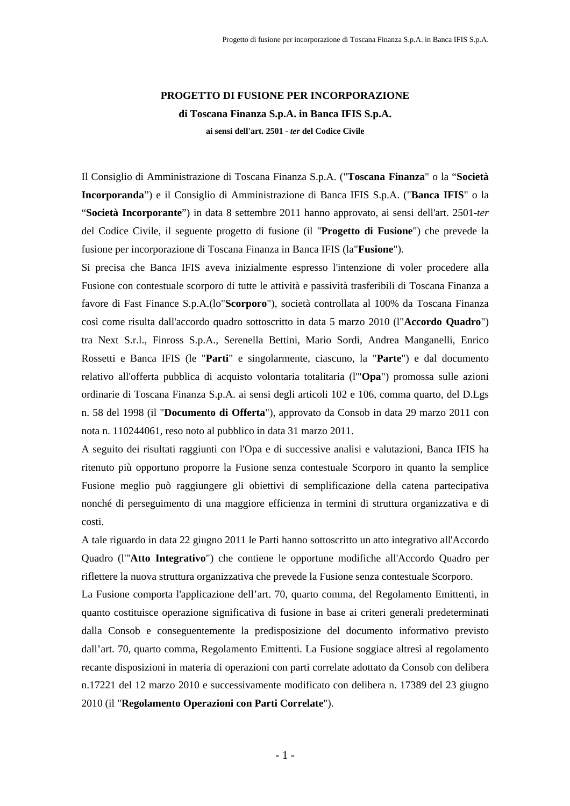# **PROGETTO DI FUSIONE PER INCORPORAZIONE**

**di Toscana Finanza S.p.A. in Banca IFIS S.p.A.** 

**ai sensi dell'art. 2501 -** *ter* **del Codice Civile** 

Il Consiglio di Amministrazione di Toscana Finanza S.p.A. ("**Toscana Finanza**" o la "**Società Incorporanda**") e il Consiglio di Amministrazione di Banca IFIS S.p.A. ("**Banca IFIS**" o la "**Società Incorporante**") in data 8 settembre 2011 hanno approvato, ai sensi dell'art. 2501-*ter* del Codice Civile, il seguente progetto di fusione (il "**Progetto di Fusione**") che prevede la fusione per incorporazione di Toscana Finanza in Banca IFIS (la"**Fusione**").

Si precisa che Banca IFIS aveva inizialmente espresso l'intenzione di voler procedere alla Fusione con contestuale scorporo di tutte le attività e passività trasferibili di Toscana Finanza a favore di Fast Finance S.p.A.(lo"**Scorporo**"), società controllata al 100% da Toscana Finanza così come risulta dall'accordo quadro sottoscritto in data 5 marzo 2010 (l"**Accordo Quadro**") tra Next S.r.l., Finross S.p.A., Serenella Bettini, Mario Sordi, Andrea Manganelli, Enrico Rossetti e Banca IFIS (le "**Parti**" e singolarmente, ciascuno, la "**Parte**") e dal documento relativo all'offerta pubblica di acquisto volontaria totalitaria (l'"**Opa**") promossa sulle azioni ordinarie di Toscana Finanza S.p.A. ai sensi degli articoli 102 e 106, comma quarto, del D.Lgs n. 58 del 1998 (il "**Documento di Offerta**"), approvato da Consob in data 29 marzo 2011 con nota n. 110244061, reso noto al pubblico in data 31 marzo 2011.

A seguito dei risultati raggiunti con l'Opa e di successive analisi e valutazioni, Banca IFIS ha ritenuto più opportuno proporre la Fusione senza contestuale Scorporo in quanto la semplice Fusione meglio può raggiungere gli obiettivi di semplificazione della catena partecipativa nonché di perseguimento di una maggiore efficienza in termini di struttura organizzativa e di costi.

A tale riguardo in data 22 giugno 2011 le Parti hanno sottoscritto un atto integrativo all'Accordo Quadro (l'"**Atto Integrativo**") che contiene le opportune modifiche all'Accordo Quadro per riflettere la nuova struttura organizzativa che prevede la Fusione senza contestuale Scorporo.

La Fusione comporta l'applicazione dell'art. 70, quarto comma, del Regolamento Emittenti, in quanto costituisce operazione significativa di fusione in base ai criteri generali predeterminati dalla Consob e conseguentemente la predisposizione del documento informativo previsto dall'art. 70, quarto comma, Regolamento Emittenti. La Fusione soggiace altresì al regolamento recante disposizioni in materia di operazioni con parti correlate adottato da Consob con delibera n.17221 del 12 marzo 2010 e successivamente modificato con delibera n. 17389 del 23 giugno 2010 (il "**Regolamento Operazioni con Parti Correlate**").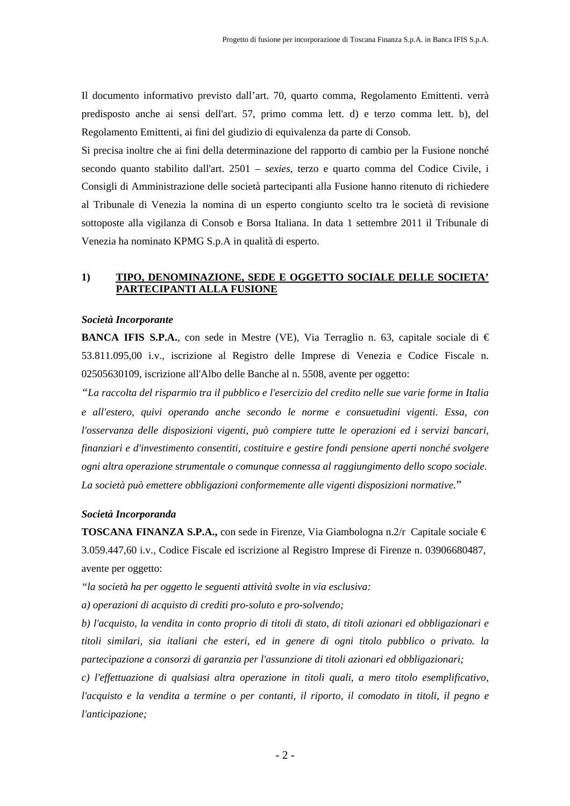Il documento informativo previsto dall'art. 70, quarto comma, Regolamento Emittenti. verrà predisposto anche ai sensi dell'art. 57, primo comma lett. d) e terzo comma lett. b), del Regolamento Emittenti, ai fini del giudizio di equivalenza da parte di Consob.

Si precisa inoltre che ai fini della determinazione del rapporto di cambio per la Fusione nonché secondo quanto stabilito dall'art. 2501 – *sexies,* terzo e quarto comma del Codice Civile, i Consigli di Amministrazione delle società partecipanti alla Fusione hanno ritenuto di richiedere al Tribunale di Venezia la nomina di un esperto congiunto scelto tra le società di revisione sottoposte alla vigilanza di Consob e Borsa Italiana. In data 1 settembre 2011 il Tribunale di Venezia ha nominato KPMG S.p.A in qualità di esperto.

# **1) TIPO, DENOMINAZIONE, SEDE E OGGETTO SOCIALE DELLE SOCIETA' PARTECIPANTI ALLA FUSIONE**

# *Società Incorporante*

**BANCA IFIS S.P.A.**, con sede in Mestre (VE), Via Terraglio n. 63, capitale sociale di  $\in$ 53.811.095,00 i.v., iscrizione al Registro delle Imprese di Venezia e Codice Fiscale n. 02505630109, iscrizione all'Albo delle Banche al n. 5508, avente per oggetto:

*"La raccolta del risparmio tra il pubblico e l'esercizio del credito nelle sue varie forme in Italia e all'estero, quivi operando anche secondo le norme e consuetudini vigenti. Essa, con l'osservanza delle disposizioni vigenti, può compiere tutte le operazioni ed i servizi bancari, finanziari e d'investimento consentiti, costituire e gestire fondi pensione aperti nonché svolgere ogni altra operazione strumentale o comunque connessa al raggiungimento dello scopo sociale. La società può emettere obbligazioni conformemente alle vigenti disposizioni normative.*"

# *Società Incorporanda*

**TOSCANA FINANZA S.P.A.,** con sede in Firenze, Via Giambologna n.2/r Capitale sociale  $\epsilon$ 3.059.447,60 i.v., Codice Fiscale ed iscrizione al Registro Imprese di Firenze n. 03906680487, avente per oggetto:

*"la società ha per oggetto le seguenti attività svolte in via esclusiva:* 

*a) operazioni di acquisto di crediti pro-soluto e pro-solvendo;* 

*b) l'acquisto, la vendita in conto proprio di titoli di stato, di titoli azionari ed obbligazionari e titoli similari, sia italiani che esteri, ed in genere di ogni titolo pubblico o privato. la partecipazione a consorzi di garanzia per l'assunzione di titoli azionari ed obbligazionari;* 

*c) l'effettuazione di qualsiasi altra operazione in titoli quali, a mero titolo esemplificativo, l'acquisto e la vendita a termine o per contanti, il riporto, il comodato in titoli, il pegno e l'anticipazione;*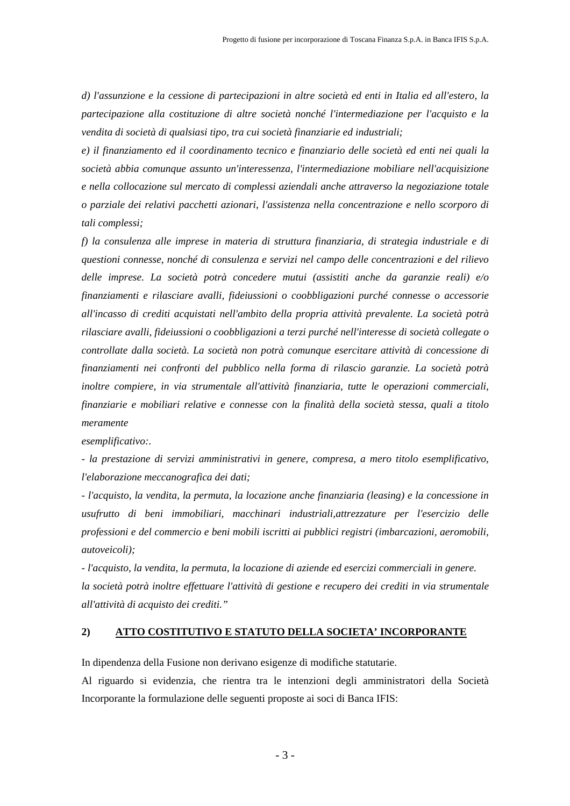*d) l'assunzione e la cessione di partecipazioni in altre società ed enti in Italia ed all'estero, la partecipazione alla costituzione di altre società nonché l'intermediazione per l'acquisto e la vendita di società di qualsiasi tipo, tra cui società finanziarie ed industriali;* 

*e) il finanziamento ed il coordinamento tecnico e finanziario delle società ed enti nei quali la società abbia comunque assunto un'interessenza, l'intermediazione mobiliare nell'acquisizione e nella collocazione sul mercato di complessi aziendali anche attraverso la negoziazione totale o parziale dei relativi pacchetti azionari, l'assistenza nella concentrazione e nello scorporo di tali complessi;* 

*f) la consulenza alle imprese in materia di struttura finanziaria, di strategia industriale e di questioni connesse, nonché di consulenza e servizi nel campo delle concentrazioni e del rilievo delle imprese. La società potrà concedere mutui (assistiti anche da garanzie reali) e/o finanziamenti e rilasciare avalli, fideiussioni o coobbligazioni purché connesse o accessorie all'incasso di crediti acquistati nell'ambito della propria attività prevalente. La società potrà rilasciare avalli, fideiussioni o coobbligazioni a terzi purché nell'interesse di società collegate o controllate dalla società. La società non potrà comunque esercitare attività di concessione di finanziamenti nei confronti del pubblico nella forma di rilascio garanzie. La società potrà inoltre compiere, in via strumentale all'attività finanziaria, tutte le operazioni commerciali, finanziarie e mobiliari relative e connesse con la finalità della società stessa, quali a titolo meramente* 

*esemplificativo:.* 

*- la prestazione di servizi amministrativi in genere, compresa, a mero titolo esemplificativo, l'elaborazione meccanografica dei dati;* 

*- l'acquisto, la vendita, la permuta, la locazione anche finanziaria (leasing) e la concessione in usufrutto di beni immobiliari, macchinari industriali,attrezzature per l'esercizio delle professioni e del commercio e beni mobili iscritti ai pubblici registri (imbarcazioni, aeromobili, autoveicoli);* 

*- l'acquisto, la vendita, la permuta, la locazione di aziende ed esercizi commerciali in genere. la società potrà inoltre effettuare l'attività di gestione e recupero dei crediti in via strumentale all'attività di acquisto dei crediti."* 

# **2) ATTO COSTITUTIVO E STATUTO DELLA SOCIETA' INCORPORANTE**

In dipendenza della Fusione non derivano esigenze di modifiche statutarie.

Al riguardo si evidenzia, che rientra tra le intenzioni degli amministratori della Società Incorporante la formulazione delle seguenti proposte ai soci di Banca IFIS: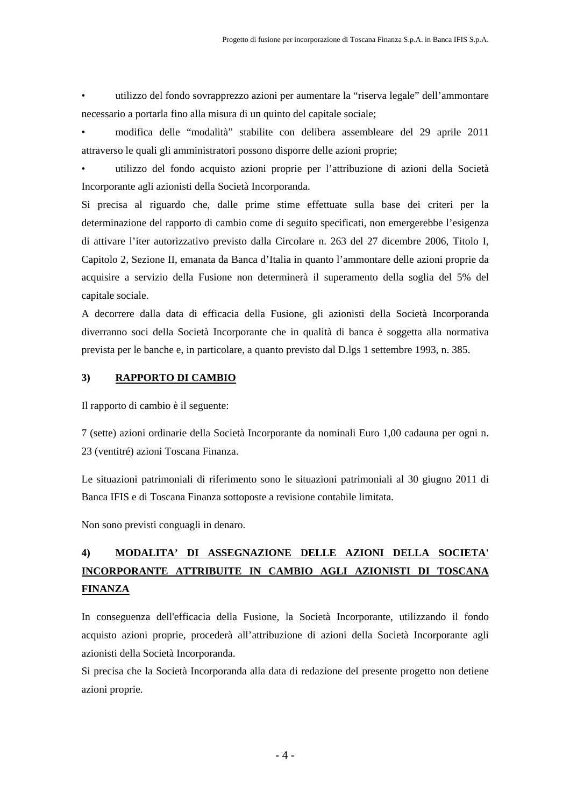• utilizzo del fondo sovrapprezzo azioni per aumentare la "riserva legale" dell'ammontare necessario a portarla fino alla misura di un quinto del capitale sociale;

• modifica delle "modalità" stabilite con delibera assembleare del 29 aprile 2011 attraverso le quali gli amministratori possono disporre delle azioni proprie;

• utilizzo del fondo acquisto azioni proprie per l'attribuzione di azioni della Società Incorporante agli azionisti della Società Incorporanda.

Si precisa al riguardo che, dalle prime stime effettuate sulla base dei criteri per la determinazione del rapporto di cambio come di seguito specificati, non emergerebbe l'esigenza di attivare l'iter autorizzativo previsto dalla Circolare n. 263 del 27 dicembre 2006, Titolo I, Capitolo 2, Sezione II, emanata da Banca d'Italia in quanto l'ammontare delle azioni proprie da acquisire a servizio della Fusione non determinerà il superamento della soglia del 5% del capitale sociale.

A decorrere dalla data di efficacia della Fusione, gli azionisti della Società Incorporanda diverranno soci della Società Incorporante che in qualità di banca è soggetta alla normativa prevista per le banche e, in particolare, a quanto previsto dal D.lgs 1 settembre 1993, n. 385.

# **3) RAPPORTO DI CAMBIO**

Il rapporto di cambio è il seguente:

7 (sette) azioni ordinarie della Società Incorporante da nominali Euro 1,00 cadauna per ogni n. 23 (ventitré) azioni Toscana Finanza.

Le situazioni patrimoniali di riferimento sono le situazioni patrimoniali al 30 giugno 2011 di Banca IFIS e di Toscana Finanza sottoposte a revisione contabile limitata.

Non sono previsti conguagli in denaro.

# **4) MODALITA' DI ASSEGNAZIONE DELLE AZIONI DELLA SOCIETA' INCORPORANTE ATTRIBUITE IN CAMBIO AGLI AZIONISTI DI TOSCANA FINANZA**

In conseguenza dell'efficacia della Fusione, la Società Incorporante, utilizzando il fondo acquisto azioni proprie, procederà all'attribuzione di azioni della Società Incorporante agli azionisti della Società Incorporanda.

Si precisa che la Società Incorporanda alla data di redazione del presente progetto non detiene azioni proprie.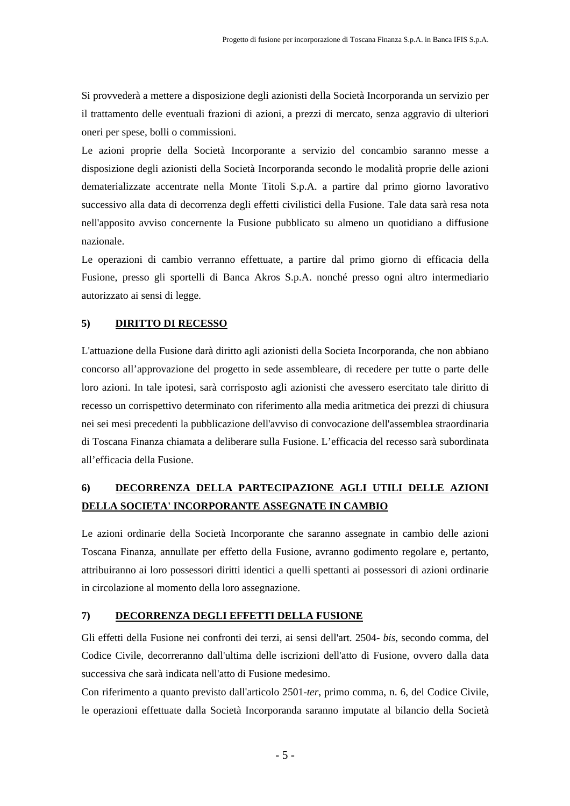Si provvederà a mettere a disposizione degli azionisti della Società Incorporanda un servizio per il trattamento delle eventuali frazioni di azioni, a prezzi di mercato, senza aggravio di ulteriori oneri per spese, bolli o commissioni.

Le azioni proprie della Società Incorporante a servizio del concambio saranno messe a disposizione degli azionisti della Società Incorporanda secondo le modalità proprie delle azioni dematerializzate accentrate nella Monte Titoli S.p.A. a partire dal primo giorno lavorativo successivo alla data di decorrenza degli effetti civilistici della Fusione. Tale data sarà resa nota nell'apposito avviso concernente la Fusione pubblicato su almeno un quotidiano a diffusione nazionale.

Le operazioni di cambio verranno effettuate, a partire dal primo giorno di efficacia della Fusione, presso gli sportelli di Banca Akros S.p.A. nonché presso ogni altro intermediario autorizzato ai sensi di legge.

# **5) DIRITTO DI RECESSO**

L'attuazione della Fusione darà diritto agli azionisti della Societa Incorporanda, che non abbiano concorso all'approvazione del progetto in sede assembleare, di recedere per tutte o parte delle loro azioni. In tale ipotesi, sarà corrisposto agli azionisti che avessero esercitato tale diritto di recesso un corrispettivo determinato con riferimento alla media aritmetica dei prezzi di chiusura nei sei mesi precedenti la pubblicazione dell'avviso di convocazione dell'assemblea straordinaria di Toscana Finanza chiamata a deliberare sulla Fusione. L'efficacia del recesso sarà subordinata all'efficacia della Fusione.

# **6) DECORRENZA DELLA PARTECIPAZIONE AGLI UTILI DELLE AZIONI DELLA SOCIETA' INCORPORANTE ASSEGNATE IN CAMBIO**

Le azioni ordinarie della Società Incorporante che saranno assegnate in cambio delle azioni Toscana Finanza, annullate per effetto della Fusione, avranno godimento regolare e, pertanto, attribuiranno ai loro possessori diritti identici a quelli spettanti ai possessori di azioni ordinarie in circolazione al momento della loro assegnazione.

# **7) DECORRENZA DEGLI EFFETTI DELLA FUSIONE**

Gli effetti della Fusione nei confronti dei terzi, ai sensi dell'art. 2504- *bis,* secondo comma, del Codice Civile, decorreranno dall'ultima delle iscrizioni dell'atto di Fusione, ovvero dalla data successiva che sarà indicata nell'atto di Fusione medesimo.

Con riferimento a quanto previsto dall'articolo 2501-*ter*, primo comma, n. 6, del Codice Civile, le operazioni effettuate dalla Società Incorporanda saranno imputate al bilancio della Società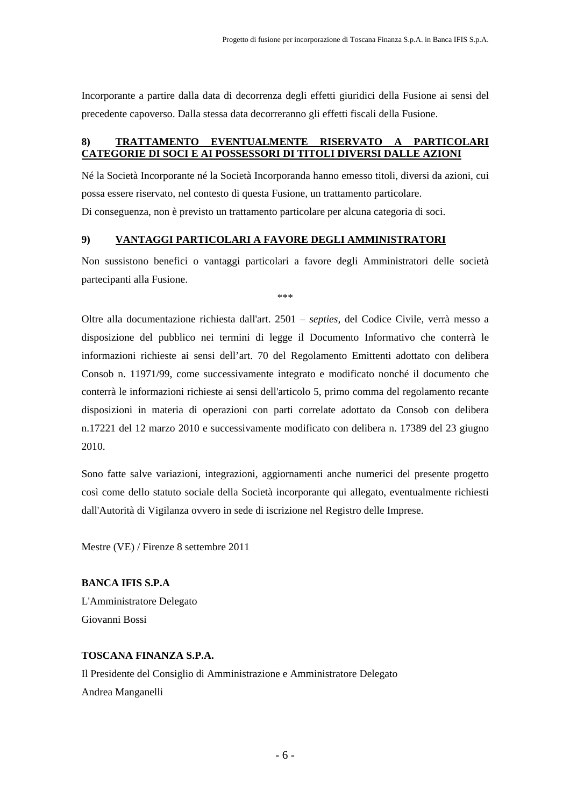Incorporante a partire dalla data di decorrenza degli effetti giuridici della Fusione ai sensi del precedente capoverso. Dalla stessa data decorreranno gli effetti fiscali della Fusione.

# **8) TRATTAMENTO EVENTUALMENTE RISERVATO A PARTICOLARI CATEGORIE DI SOCI E AI POSSESSORI DI TITOLI DIVERSI DALLE AZIONI**

Né la Società Incorporante né la Società Incorporanda hanno emesso titoli, diversi da azioni, cui possa essere riservato, nel contesto di questa Fusione, un trattamento particolare. Di conseguenza, non è previsto un trattamento particolare per alcuna categoria di soci.

# **9) VANTAGGI PARTICOLARI A FAVORE DEGLI AMMINISTRATORI**

Non sussistono benefici o vantaggi particolari a favore degli Amministratori delle società partecipanti alla Fusione.

\*\*\*

Oltre alla documentazione richiesta dall'art. 2501 – *septies,* del Codice Civile, verrà messo a disposizione del pubblico nei termini di legge il Documento Informativo che conterrà le informazioni richieste ai sensi dell'art. 70 del Regolamento Emittenti adottato con delibera Consob n. 11971/99, come successivamente integrato e modificato nonché il documento che conterrà le informazioni richieste ai sensi dell'articolo 5, primo comma del regolamento recante disposizioni in materia di operazioni con parti correlate adottato da Consob con delibera n.17221 del 12 marzo 2010 e successivamente modificato con delibera n. 17389 del 23 giugno 2010.

Sono fatte salve variazioni, integrazioni, aggiornamenti anche numerici del presente progetto così come dello statuto sociale della Società incorporante qui allegato, eventualmente richiesti dall'Autorità di Vigilanza ovvero in sede di iscrizione nel Registro delle Imprese.

Mestre (VE) / Firenze 8 settembre 2011

# **BANCA IFIS S.P.A**

L'Amministratore Delegato Giovanni Bossi

# **TOSCANA FINANZA S.P.A.**

Il Presidente del Consiglio di Amministrazione e Amministratore Delegato Andrea Manganelli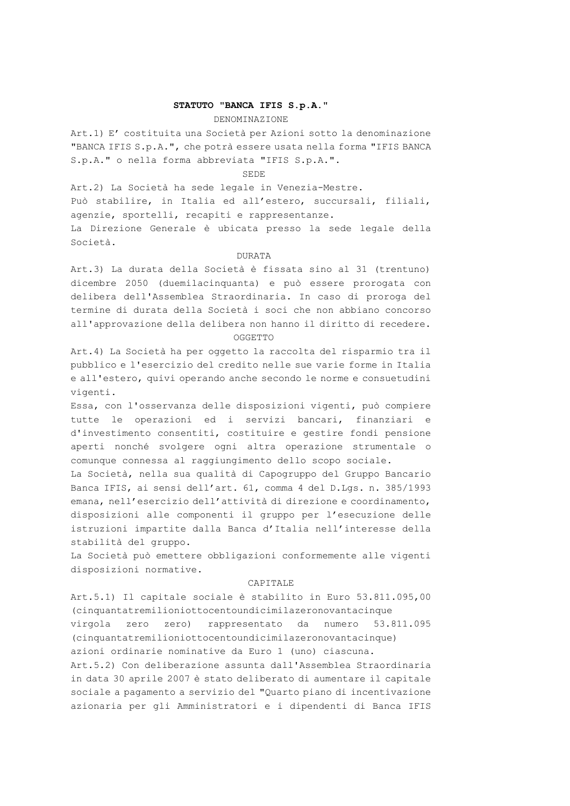# **STATUTO "BANCA IFIS S.p.A."**

### DENOMINAZIONE

Art.1) E' costituita una Società per Azioni sotto la denominazione "BANCA IFIS S.p.A.", che potrà essere usata nella forma "IFIS BANCA S.p.A." o nella forma abbreviata "IFIS S.p.A.".

### SEDE

Art.2) La Società ha sede legale in Venezia-Mestre. Può stabilire, in Italia ed all'estero, succursali, filiali, agenzie, sportelli, recapiti e rappresentanze. La Direzione Generale è ubicata presso la sede legale della Società.

#### DURATA

Art.3) La durata della Società è fissata sino al 31 (trentuno) dicembre 2050 (duemilacinquanta) e può essere prorogata con delibera dell'Assemblea Straordinaria. In caso di proroga del termine di durata della Società i soci che non abbiano concorso all'approvazione della delibera non hanno il diritto di recedere.

### OGGETTO

Art.4) La Società ha per oggetto la raccolta del risparmio tra il pubblico e l'esercizio del credito nelle sue varie forme in Italia e all'estero, quivi operando anche secondo le norme e consuetudini vigenti.

Essa, con l'osservanza delle disposizioni vigenti, può compiere tutte le operazioni ed i servizi bancari, finanziari e d'investimento consentiti, costituire e gestire fondi pensione aperti nonché svolgere ogni altra operazione strumentale o comunque connessa al raggiungimento dello scopo sociale.

La Società, nella sua qualità di Capogruppo del Gruppo Bancario Banca IFIS, ai sensi dell'art. 61, comma 4 del D.Lgs. n. 385/1993 emana, nell'esercizio dell'attività di direzione e coordinamento, disposizioni alle componenti il gruppo per l'esecuzione delle istruzioni impartite dalla Banca d'Italia nell'interesse della stabilità del gruppo.

La Società può emettere obbligazioni conformemente alle vigenti disposizioni normative.

### **CAPTTALE**

Art.5.1) Il capitale sociale è stabilito in Euro 53.811.095,00 (cinquantatremilioniottocentoundicimilazeronovantacinque virgola zero zero) rappresentato da numero 53.811.095 (cinquantatremilioniottocentoundicimilazeronovantacinque) azioni ordinarie nominative da Euro 1 (uno) ciascuna. Art.5.2) Con deliberazione assunta dall'Assemblea Straordinaria in data 30 aprile 2007 è stato deliberato di aumentare il capitale sociale a pagamento a servizio del "Quarto piano di incentivazione azionaria per gli Amministratori e i dipendenti di Banca IFIS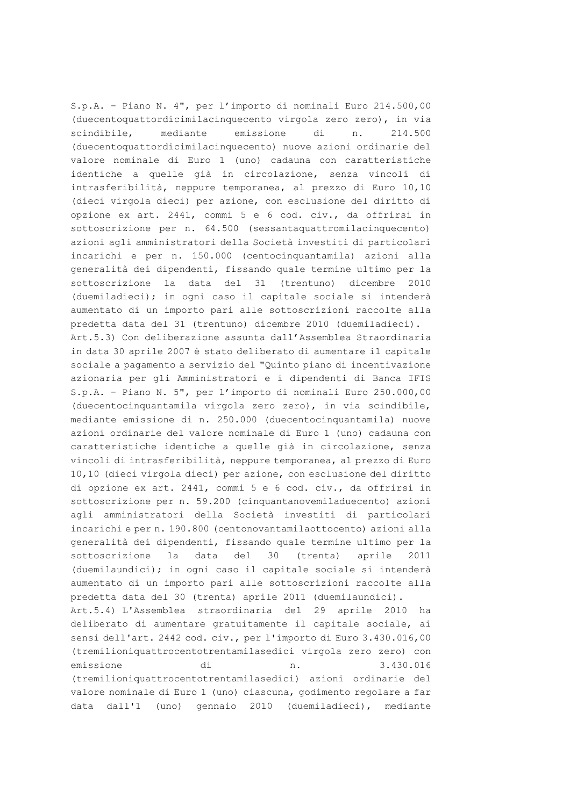S.p.A. – Piano N. 4", per l'importo di nominali Euro 214.500,00 (duecentoquattordicimilacinquecento virgola zero zero), in via scindibile, mediante emissione di n. 214.500 (duecentoquattordicimilacinquecento) nuove azioni ordinarie del valore nominale di Euro 1 (uno) cadauna con caratteristiche identiche a quelle già in circolazione, senza vincoli di intrasferibilità, neppure temporanea, al prezzo di Euro 10,10 (dieci virgola dieci) per azione, con esclusione del diritto di opzione ex art. 2441, commi 5 e 6 cod. civ., da offrirsi in sottoscrizione per n. 64.500 (sessantaquattromilacinquecento) azioni agli amministratori della Società investiti di particolari incarichi e per n. 150.000 (centocinquantamila) azioni alla generalità dei dipendenti, fissando quale termine ultimo per la sottoscrizione la data del 31 (trentuno) dicembre 2010 (duemiladieci); in ogni caso il capitale sociale si intenderà aumentato di un importo pari alle sottoscrizioni raccolte alla predetta data del 31 (trentuno) dicembre 2010 (duemiladieci). Art.5.3) Con deliberazione assunta dall'Assemblea Straordinaria in data 30 aprile 2007 è stato deliberato di aumentare il capitale sociale a pagamento a servizio del "Quinto piano di incentivazione azionaria per gli Amministratori e i dipendenti di Banca IFIS S.p.A. – Piano N. 5", per l'importo di nominali Euro 250.000,00 (duecentocinquantamila virgola zero zero), in via scindibile, mediante emissione di n. 250.000 (duecentocinquantamila) nuove azioni ordinarie del valore nominale di Euro 1 (uno) cadauna con caratteristiche identiche a quelle già in circolazione, senza vincoli di intrasferibilità, neppure temporanea, al prezzo di Euro 10,10 (dieci virgola dieci) per azione, con esclusione del diritto di opzione ex art. 2441, commi 5 e 6 cod. civ., da offrirsi in sottoscrizione per n. 59.200 (cinquantanovemiladuecento) azioni agli amministratori della Società investiti di particolari incarichi e per n. 190.800 (centonovantamilaottocento) azioni alla generalità dei dipendenti, fissando quale termine ultimo per la sottoscrizione la data del 30 (trenta) aprile 2011 (duemilaundici); in ogni caso il capitale sociale si intenderà aumentato di un importo pari alle sottoscrizioni raccolte alla predetta data del 30 (trenta) aprile 2011 (duemilaundici). Art.5.4) L'Assemblea straordinaria del 29 aprile 2010 ha deliberato di aumentare gratuitamente il capitale sociale, ai sensi dell'art. 2442 cod. civ., per l'importo di Euro 3.430.016,00 (tremilioniquattrocentotrentamilasedici virgola zero zero) con

emissione di n. 3.430.016 (tremilioniquattrocentotrentamilasedici) azioni ordinarie del valore nominale di Euro 1 (uno) ciascuna, godimento regolare a far data dall'1 (uno) gennaio 2010 (duemiladieci), mediante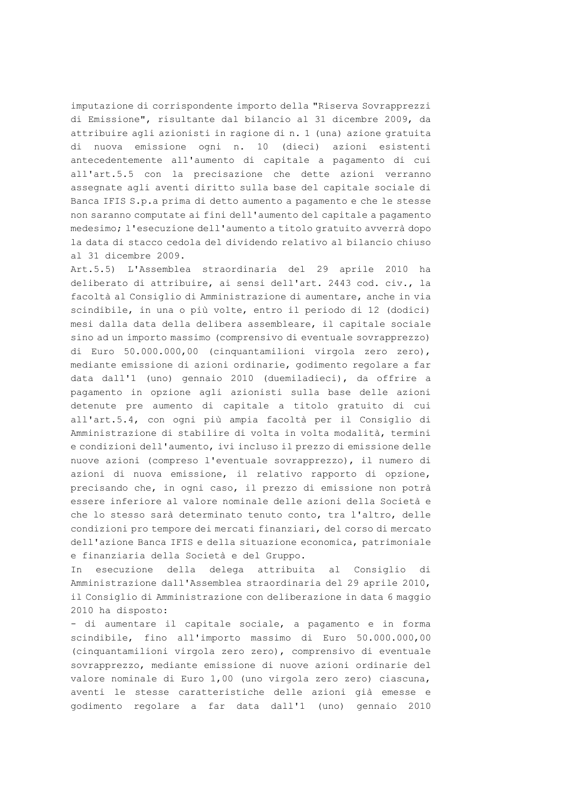imputazione di corrispondente importo della "Riserva Sovrapprezzi di Emissione", risultante dal bilancio al 31 dicembre 2009, da attribuire agli azionisti in ragione di n. 1 (una) azione gratuita di nuova emissione ogni n. 10 (dieci) azioni esistenti antecedentemente all'aumento di capitale a pagamento di cui all'art.5.5 con la precisazione che dette azioni verranno assegnate agli aventi diritto sulla base del capitale sociale di Banca IFIS S.p.a prima di detto aumento a pagamento e che le stesse non saranno computate ai fini dell'aumento del capitale a pagamento medesimo; l'esecuzione dell'aumento a titolo gratuito avverrà dopo la data di stacco cedola del dividendo relativo al bilancio chiuso al 31 dicembre 2009.

Art.5.5) L'Assemblea straordinaria del 29 aprile 2010 ha deliberato di attribuire, ai sensi dell'art. 2443 cod. civ., la facoltà al Consiglio di Amministrazione di aumentare, anche in via scindibile, in una o più volte, entro il periodo di 12 (dodici) mesi dalla data della delibera assembleare, il capitale sociale sino ad un importo massimo (comprensivo di eventuale sovrapprezzo) di Euro 50.000.000,00 (cinquantamilioni virgola zero zero), mediante emissione di azioni ordinarie, godimento regolare a far data dall'1 (uno) gennaio 2010 (duemiladieci), da offrire a pagamento in opzione agli azionisti sulla base delle azioni detenute pre aumento di capitale a titolo gratuito di cui all'art.5.4, con ogni più ampia facoltà per il Consiglio di Amministrazione di stabilire di volta in volta modalità, termini e condizioni dell'aumento, ivi incluso il prezzo di emissione delle nuove azioni (compreso l'eventuale sovrapprezzo), il numero di azioni di nuova emissione, il relativo rapporto di opzione, precisando che, in ogni caso, il prezzo di emissione non potrà essere inferiore al valore nominale delle azioni della Società e che lo stesso sarà determinato tenuto conto, tra l'altro, delle condizioni pro tempore dei mercati finanziari, del corso di mercato dell'azione Banca IFIS e della situazione economica, patrimoniale e finanziaria della Società e del Gruppo.

In esecuzione della delega attribuita al Consiglio di Amministrazione dall'Assemblea straordinaria del 29 aprile 2010, il Consiglio di Amministrazione con deliberazione in data 6 maggio 2010 ha disposto:

- di aumentare il capitale sociale, a pagamento e in forma scindibile, fino all'importo massimo di Euro 50.000.000,00 (cinquantamilioni virgola zero zero), comprensivo di eventuale sovrapprezzo, mediante emissione di nuove azioni ordinarie del valore nominale di Euro 1,00 (uno virgola zero zero) ciascuna, aventi le stesse caratteristiche delle azioni già emesse e godimento regolare a far data dall'1 (uno) gennaio 2010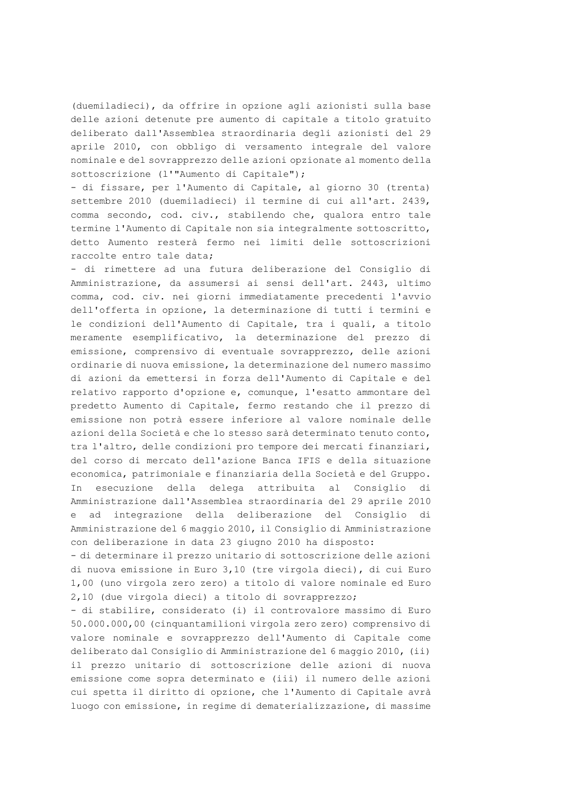(duemiladieci), da offrire in opzione agli azionisti sulla base delle azioni detenute pre aumento di capitale a titolo gratuito deliberato dall'Assemblea straordinaria degli azionisti del 29 aprile 2010, con obbligo di versamento integrale del valore nominale e del sovrapprezzo delle azioni opzionate al momento della sottoscrizione (l'"Aumento di Capitale");

- di fissare, per l'Aumento di Capitale, al giorno 30 (trenta) settembre 2010 (duemiladieci) il termine di cui all'art. 2439, comma secondo, cod. civ., stabilendo che, qualora entro tale termine l'Aumento di Capitale non sia integralmente sottoscritto, detto Aumento resterà fermo nei limiti delle sottoscrizioni raccolte entro tale data;

- di rimettere ad una futura deliberazione del Consiglio di Amministrazione, da assumersi ai sensi dell'art. 2443, ultimo comma, cod. civ. nei giorni immediatamente precedenti l'avvio dell'offerta in opzione, la determinazione di tutti i termini e le condizioni dell'Aumento di Capitale, tra i quali, a titolo meramente esemplificativo, la determinazione del prezzo di emissione, comprensivo di eventuale sovrapprezzo, delle azioni ordinarie di nuova emissione, la determinazione del numero massimo di azioni da emettersi in forza dell'Aumento di Capitale e del relativo rapporto d'opzione e, comunque, l'esatto ammontare del predetto Aumento di Capitale, fermo restando che il prezzo di emissione non potrà essere inferiore al valore nominale delle azioni della Società e che lo stesso sarà determinato tenuto conto, tra l'altro, delle condizioni pro tempore dei mercati finanziari, del corso di mercato dell'azione Banca IFIS e della situazione economica, patrimoniale e finanziaria della Società e del Gruppo. In esecuzione della delega attribuita al Consiglio di Amministrazione dall'Assemblea straordinaria del 29 aprile 2010 e ad integrazione della deliberazione del Consiglio di Amministrazione del 6 maggio 2010, il Consiglio di Amministrazione con deliberazione in data 23 giugno 2010 ha disposto:

- di determinare il prezzo unitario di sottoscrizione delle azioni di nuova emissione in Euro 3,10 (tre virgola dieci), di cui Euro 1,00 (uno virgola zero zero) a titolo di valore nominale ed Euro 2,10 (due virgola dieci) a titolo di sovrapprezzo;

- di stabilire, considerato (i) il controvalore massimo di Euro 50.000.000,00 (cinquantamilioni virgola zero zero) comprensivo di valore nominale e sovrapprezzo dell'Aumento di Capitale come deliberato dal Consiglio di Amministrazione del 6 maggio 2010, (ii) il prezzo unitario di sottoscrizione delle azioni di nuova emissione come sopra determinato e (iii) il numero delle azioni cui spetta il diritto di opzione, che l'Aumento di Capitale avrà luogo con emissione, in regime di dematerializzazione, di massime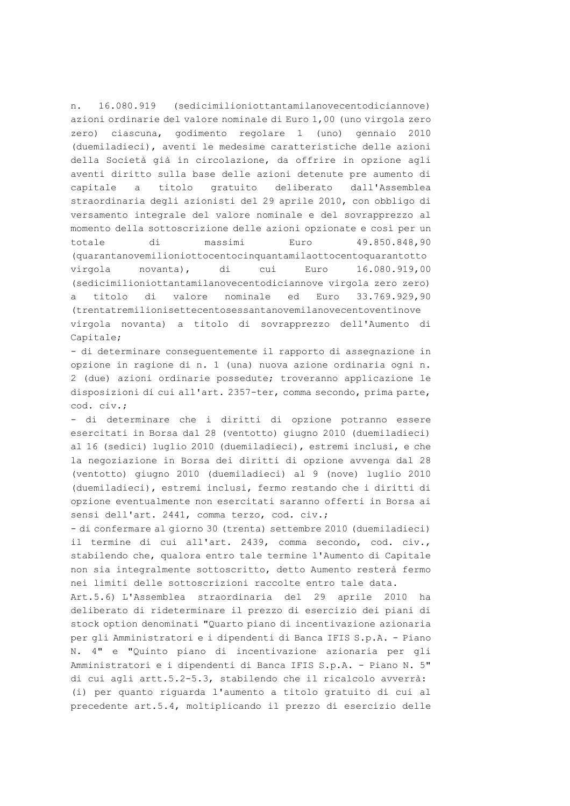n. 16.080.919 (sedicimilioniottantamilanovecentodiciannove) azioni ordinarie del valore nominale di Euro 1,00 (uno virgola zero zero) ciascuna, godimento regolare 1 (uno) gennaio 2010 (duemiladieci), aventi le medesime caratteristiche delle azioni della Società già in circolazione, da offrire in opzione agli aventi diritto sulla base delle azioni detenute pre aumento di capitale a titolo gratuito deliberato dall'Assemblea straordinaria degli azionisti del 29 aprile 2010, con obbligo di versamento integrale del valore nominale e del sovrapprezzo al momento della sottoscrizione delle azioni opzionate e così per un totale di massimi Euro 49.850.848,90 (quarantanovemilioniottocentocinquantamilaottocentoquarantotto virgola novanta), di cui Euro 16.080.919,00 (sedicimilioniottantamilanovecentodiciannove virgola zero zero) a titolo di valore nominale ed Euro 33.769.929,90 (trentatremilionisettecentosessantanovemilanovecentoventinove virgola novanta) a titolo di sovrapprezzo dell'Aumento di Capitale;

- di determinare conseguentemente il rapporto di assegnazione in opzione in ragione di n. 1 (una) nuova azione ordinaria ogni n. 2 (due) azioni ordinarie possedute; troveranno applicazione le disposizioni di cui all'art. 2357-ter, comma secondo, prima parte, cod. civ.;

- di determinare che i diritti di opzione potranno essere esercitati in Borsa dal 28 (ventotto) giugno 2010 (duemiladieci) al 16 (sedici) luglio 2010 (duemiladieci), estremi inclusi, e che la negoziazione in Borsa dei diritti di opzione avvenga dal 28 (ventotto) giugno 2010 (duemiladieci) al 9 (nove) luglio 2010 (duemiladieci), estremi inclusi, fermo restando che i diritti di opzione eventualmente non esercitati saranno offerti in Borsa ai sensi dell'art. 2441, comma terzo, cod. civ.;

- di confermare al giorno 30 (trenta) settembre 2010 (duemiladieci) il termine di cui all'art. 2439, comma secondo, cod. civ., stabilendo che, qualora entro tale termine l'Aumento di Capitale non sia integralmente sottoscritto, detto Aumento resterà fermo nei limiti delle sottoscrizioni raccolte entro tale data.

Art.5.6) L'Assemblea straordinaria del 29 aprile 2010 ha deliberato di rideterminare il prezzo di esercizio dei piani di stock option denominati "Quarto piano di incentivazione azionaria per gli Amministratori e i dipendenti di Banca IFIS S.p.A. - Piano N. 4" e "Quinto piano di incentivazione azionaria per gli Amministratori e i dipendenti di Banca IFIS S.p.A. - Piano N. 5" di cui agli artt.5.2-5.3, stabilendo che il ricalcolo avverrà: (i) per quanto riguarda l'aumento a titolo gratuito di cui al precedente art.5.4, moltiplicando il prezzo di esercizio delle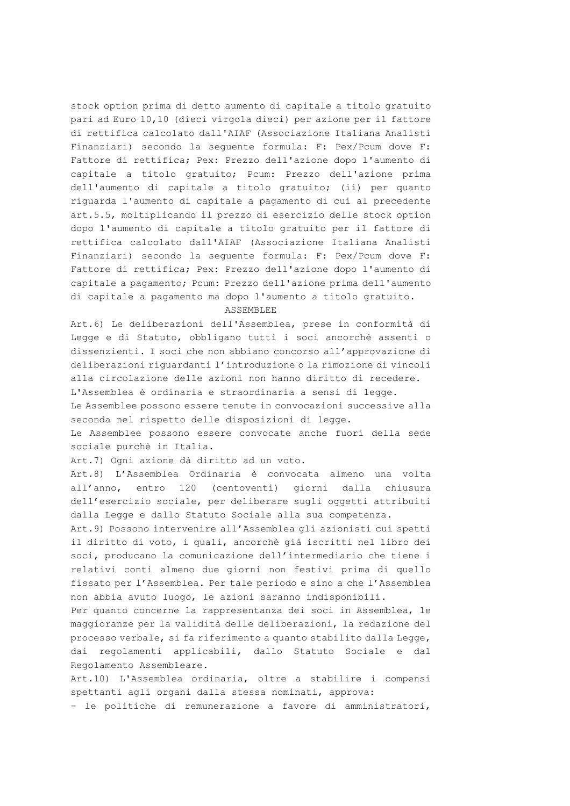stock option prima di detto aumento di capitale a titolo gratuito pari ad Euro 10,10 (dieci virgola dieci) per azione per il fattore di rettifica calcolato dall'AIAF (Associazione Italiana Analisti Finanziari) secondo la seguente formula: F: Pex/Pcum dove F: Fattore di rettifica; Pex: Prezzo dell'azione dopo l'aumento di capitale a titolo gratuito; Pcum: Prezzo dell'azione prima dell'aumento di capitale a titolo gratuito; (ii) per quanto riguarda l'aumento di capitale a pagamento di cui al precedente art.5.5, moltiplicando il prezzo di esercizio delle stock option dopo l'aumento di capitale a titolo gratuito per il fattore di rettifica calcolato dall'AIAF (Associazione Italiana Analisti Finanziari) secondo la seguente formula: F: Pex/Pcum dove F: Fattore di rettifica; Pex: Prezzo dell'azione dopo l'aumento di capitale a pagamento; Pcum: Prezzo dell'azione prima dell'aumento di capitale a pagamento ma dopo l'aumento a titolo gratuito.

### ASSEMBLEE

Art.6) Le deliberazioni dell'Assemblea, prese in conformità di Legge e di Statuto, obbligano tutti i soci ancorché assenti o dissenzienti. I soci che non abbiano concorso all'approvazione di deliberazioni riguardanti l'introduzione o la rimozione di vincoli alla circolazione delle azioni non hanno diritto di recedere.

L'Assemblea è ordinaria e straordinaria a sensi di legge.

Le Assemblee possono essere tenute in convocazioni successive alla seconda nel rispetto delle disposizioni di legge.

Le Assemblee possono essere convocate anche fuori della sede sociale purchè in Italia.

Art.7) Ogni azione dà diritto ad un voto.

Art.8) L'Assemblea Ordinaria è convocata almeno una volta all'anno, entro 120 (centoventi) giorni dalla chiusura dell'esercizio sociale, per deliberare sugli oggetti attribuiti dalla Legge e dallo Statuto Sociale alla sua competenza.

Art.9) Possono intervenire all'Assemblea gli azionisti cui spetti il diritto di voto, i quali, ancorchè già iscritti nel libro dei soci, producano la comunicazione dell'intermediario che tiene i relativi conti almeno due giorni non festivi prima di quello fissato per l'Assemblea. Per tale periodo e sino a che l'Assemblea non abbia avuto luogo, le azioni saranno indisponibili.

Per quanto concerne la rappresentanza dei soci in Assemblea, le maggioranze per la validità delle deliberazioni, la redazione del processo verbale, si fa riferimento a quanto stabilito dalla Legge, dai regolamenti applicabili, dallo Statuto Sociale e dal Regolamento Assembleare.

Art.10) L'Assemblea ordinaria, oltre a stabilire i compensi spettanti agli organi dalla stessa nominati, approva:

– le politiche di remunerazione a favore di amministratori,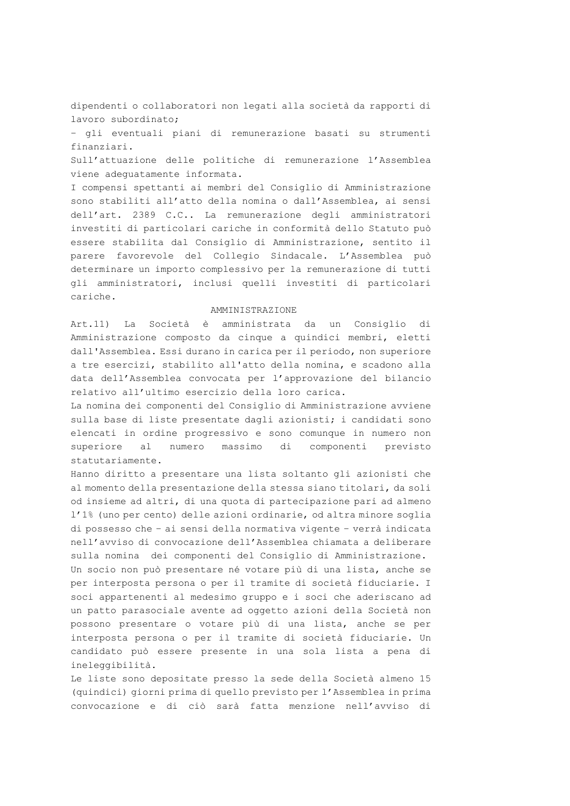dipendenti o collaboratori non legati alla società da rapporti di lavoro subordinato;

– gli eventuali piani di remunerazione basati su strumenti finanziari.

Sull'attuazione delle politiche di remunerazione l'Assemblea viene adeguatamente informata.

I compensi spettanti ai membri del Consiglio di Amministrazione sono stabiliti all'atto della nomina o dall'Assemblea, ai sensi dell'art. 2389 C.C.. La remunerazione degli amministratori investiti di particolari cariche in conformità dello Statuto può essere stabilita dal Consiglio di Amministrazione, sentito il parere favorevole del Collegio Sindacale. L'Assemblea può determinare un importo complessivo per la remunerazione di tutti gli amministratori, inclusi quelli investiti di particolari cariche.

## AMMINISTRAZIONE

Art.11) La Società è amministrata da un Consiglio di Amministrazione composto da cinque a quindici membri, eletti dall'Assemblea. Essi durano in carica per il periodo, non superiore a tre esercizi, stabilito all'atto della nomina, e scadono alla data dell'Assemblea convocata per l'approvazione del bilancio relativo all'ultimo esercizio della loro carica.

La nomina dei componenti del Consiglio di Amministrazione avviene sulla base di liste presentate dagli azionisti; i candidati sono elencati in ordine progressivo e sono comunque in numero non superiore al numero massimo di componenti previsto statutariamente.

Hanno diritto a presentare una lista soltanto gli azionisti che al momento della presentazione della stessa siano titolari, da soli od insieme ad altri, di una quota di partecipazione pari ad almeno l'1% (uno per cento) delle azioni ordinarie, od altra minore soglia di possesso che – ai sensi della normativa vigente – verrà indicata nell'avviso di convocazione dell'Assemblea chiamata a deliberare sulla nomina dei componenti del Consiglio di Amministrazione.

Un socio non può presentare né votare più di una lista, anche se per interposta persona o per il tramite di società fiduciarie. I soci appartenenti al medesimo gruppo e i soci che aderiscano ad un patto parasociale avente ad oggetto azioni della Società non possono presentare o votare più di una lista, anche se per interposta persona o per il tramite di società fiduciarie. Un candidato può essere presente in una sola lista a pena di ineleggibilità.

Le liste sono depositate presso la sede della Società almeno 15 (quindici) giorni prima di quello previsto per l'Assemblea in prima convocazione e di ciò sarà fatta menzione nell'avviso di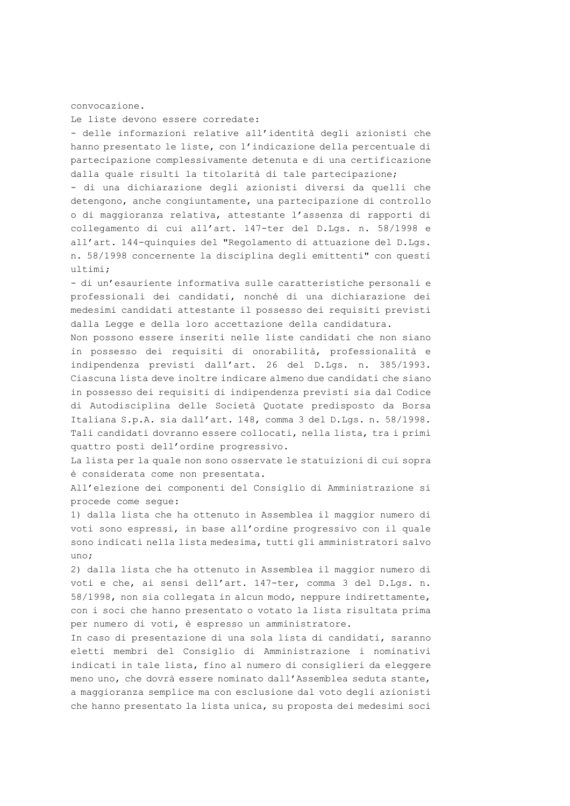convocazione.

Le liste devono essere corredate:

- delle informazioni relative all'identità degli azionisti che hanno presentato le liste, con l'indicazione della percentuale di partecipazione complessivamente detenuta e di una certificazione dalla quale risulti la titolarità di tale partecipazione;

- di una dichiarazione degli azionisti diversi da quelli che detengono, anche congiuntamente, una partecipazione di controllo o di maggioranza relativa, attestante l'assenza di rapporti di collegamento di cui all'art. 147-ter del D.Lgs. n. 58/1998 e all'art. 144-quinquies del "Regolamento di attuazione del D.Lgs. n. 58/1998 concernente la disciplina degli emittenti" con questi ultimi;

- di un'esauriente informativa sulle caratteristiche personali e professionali dei candidati, nonché di una dichiarazione dei medesimi candidati attestante il possesso dei requisiti previsti dalla Legge e della loro accettazione della candidatura.

Non possono essere inseriti nelle liste candidati che non siano in possesso dei requisiti di onorabilità, professionalità e indipendenza previsti dall'art. 26 del D.Lgs. n. 385/1993. Ciascuna lista deve inoltre indicare almeno due candidati che siano in possesso dei requisiti di indipendenza previsti sia dal Codice di Autodisciplina delle Società Quotate predisposto da Borsa Italiana S.p.A. sia dall'art. 148, comma 3 del D.Lgs. n. 58/1998. Tali candidati dovranno essere collocati, nella lista, tra i primi quattro posti dell'ordine progressivo.

La lista per la quale non sono osservate le statuizioni di cui sopra è considerata come non presentata.

All'elezione dei componenti del Consiglio di Amministrazione si procede come segue:

1) dalla lista che ha ottenuto in Assemblea il maggior numero di voti sono espressi, in base all'ordine progressivo con il quale sono indicati nella lista medesima, tutti gli amministratori salvo  $11nO:$ 

2) dalla lista che ha ottenuto in Assemblea il maggior numero di voti e che, ai sensi dell'art. 147-ter, comma 3 del D.Lgs. n. 58/1998, non sia collegata in alcun modo, neppure indirettamente, con i soci che hanno presentato o votato la lista risultata prima per numero di voti, è espresso un amministratore.

In caso di presentazione di una sola lista di candidati, saranno eletti membri del Consiglio di Amministrazione i nominativi indicati in tale lista, fino al numero di consiglieri da eleggere meno uno, che dovrà essere nominato dall'Assemblea seduta stante, a maggioranza semplice ma con esclusione dal voto degli azionisti che hanno presentato la lista unica, su proposta dei medesimi soci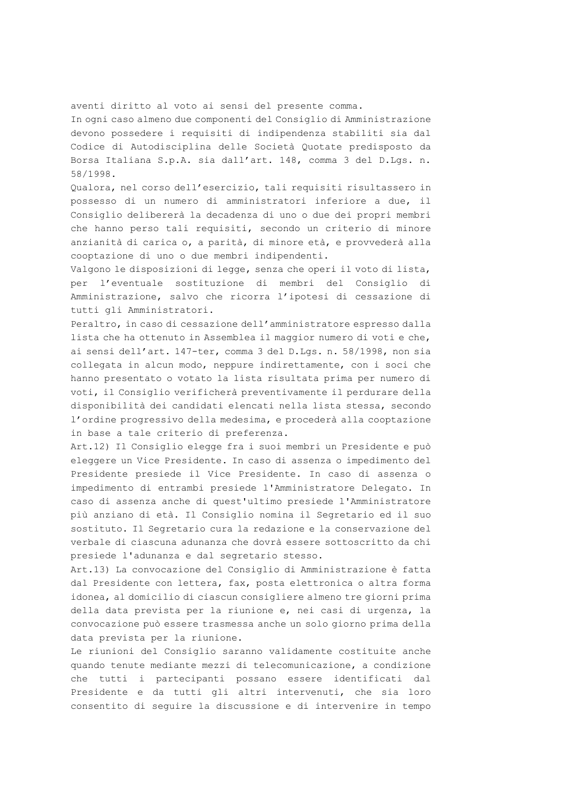aventi diritto al voto ai sensi del presente comma.

In ogni caso almeno due componenti del Consiglio di Amministrazione devono possedere i requisiti di indipendenza stabiliti sia dal Codice di Autodisciplina delle Società Quotate predisposto da Borsa Italiana S.p.A. sia dall'art. 148, comma 3 del D.Lgs. n. 58/1998.

Qualora, nel corso dell'esercizio, tali requisiti risultassero in possesso di un numero di amministratori inferiore a due, il Consiglio delibererà la decadenza di uno o due dei propri membri che hanno perso tali requisiti, secondo un criterio di minore anzianità di carica o, a parità, di minore età, e provvederà alla cooptazione di uno o due membri indipendenti.

Valgono le disposizioni di legge, senza che operi il voto di lista, per l'eventuale sostituzione di membri del Consiglio di Amministrazione, salvo che ricorra l'ipotesi di cessazione di tutti gli Amministratori.

Peraltro, in caso di cessazione dell'amministratore espresso dalla lista che ha ottenuto in Assemblea il maggior numero di voti e che, ai sensi dell'art. 147-ter, comma 3 del D.Lgs. n. 58/1998, non sia collegata in alcun modo, neppure indirettamente, con i soci che hanno presentato o votato la lista risultata prima per numero di voti, il Consiglio verificherà preventivamente il perdurare della disponibilità dei candidati elencati nella lista stessa, secondo l'ordine progressivo della medesima, e procederà alla cooptazione in base a tale criterio di preferenza.

Art.12) Il Consiglio elegge fra i suoi membri un Presidente e può eleggere un Vice Presidente. In caso di assenza o impedimento del Presidente presiede il Vice Presidente. In caso di assenza o impedimento di entrambi presiede l'Amministratore Delegato. In caso di assenza anche di quest'ultimo presiede l'Amministratore più anziano di età. Il Consiglio nomina il Segretario ed il suo sostituto. Il Segretario cura la redazione e la conservazione del verbale di ciascuna adunanza che dovrà essere sottoscritto da chi presiede l'adunanza e dal segretario stesso.

Art.13) La convocazione del Consiglio di Amministrazione è fatta dal Presidente con lettera, fax, posta elettronica o altra forma idonea, al domicilio di ciascun consigliere almeno tre giorni prima della data prevista per la riunione e, nei casi di urgenza, la convocazione può essere trasmessa anche un solo giorno prima della data prevista per la riunione.

Le riunioni del Consiglio saranno validamente costituite anche quando tenute mediante mezzi di telecomunicazione, a condizione che tutti i partecipanti possano essere identificati dal Presidente e da tutti gli altri intervenuti, che sia loro consentito di seguire la discussione e di intervenire in tempo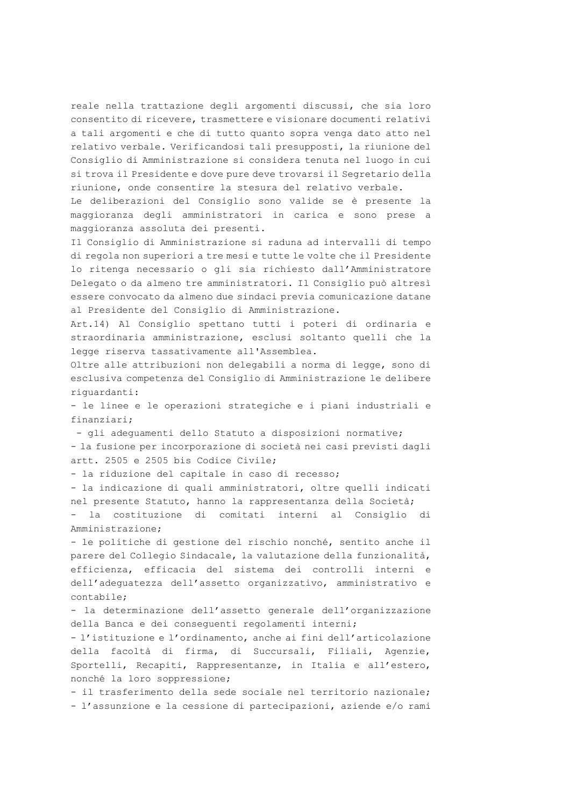reale nella trattazione degli argomenti discussi, che sia loro consentito di ricevere, trasmettere e visionare documenti relativi a tali argomenti e che di tutto quanto sopra venga dato atto nel relativo verbale. Verificandosi tali presupposti, la riunione del Consiglio di Amministrazione si considera tenuta nel luogo in cui si trova il Presidente e dove pure deve trovarsi il Segretario della riunione, onde consentire la stesura del relativo verbale.

Le deliberazioni del Consiglio sono valide se è presente la maggioranza degli amministratori in carica e sono prese a maggioranza assoluta dei presenti.

Il Consiglio di Amministrazione si raduna ad intervalli di tempo di regola non superiori a tre mesi e tutte le volte che il Presidente lo ritenga necessario o gli sia richiesto dall'Amministratore Delegato o da almeno tre amministratori. Il Consiglio può altresì essere convocato da almeno due sindaci previa comunicazione datane al Presidente del Consiglio di Amministrazione.

Art.14) Al Consiglio spettano tutti i poteri di ordinaria e straordinaria amministrazione, esclusi soltanto quelli che la legge riserva tassativamente all'Assemblea.

Oltre alle attribuzioni non delegabili a norma di legge, sono di esclusiva competenza del Consiglio di Amministrazione le delibere riguardanti:

- le linee e le operazioni strategiche e i piani industriali e finanziari;

- gli adeguamenti dello Statuto a disposizioni normative;

- la fusione per incorporazione di società nei casi previsti dagli artt. 2505 e 2505 bis Codice Civile;

- la riduzione del capitale in caso di recesso;

- la indicazione di quali amministratori, oltre quelli indicati nel presente Statuto, hanno la rappresentanza della Società;

la costituzione di comitati interni al Consiglio di Amministrazione;

- le politiche di gestione del rischio nonché, sentito anche il parere del Collegio Sindacale, la valutazione della funzionalità, efficienza, efficacia del sistema dei controlli interni e dell'adeguatezza dell'assetto organizzativo, amministrativo e contabile;

- la determinazione dell'assetto generale dell'organizzazione della Banca e dei conseguenti regolamenti interni;

- l'istituzione e l'ordinamento, anche ai fini dell'articolazione della facoltà di firma, di Succursali, Filiali, Agenzie, Sportelli, Recapiti, Rappresentanze, in Italia e all'estero, nonché la loro soppressione;

- il trasferimento della sede sociale nel territorio nazionale; - l'assunzione e la cessione di partecipazioni, aziende e/o rami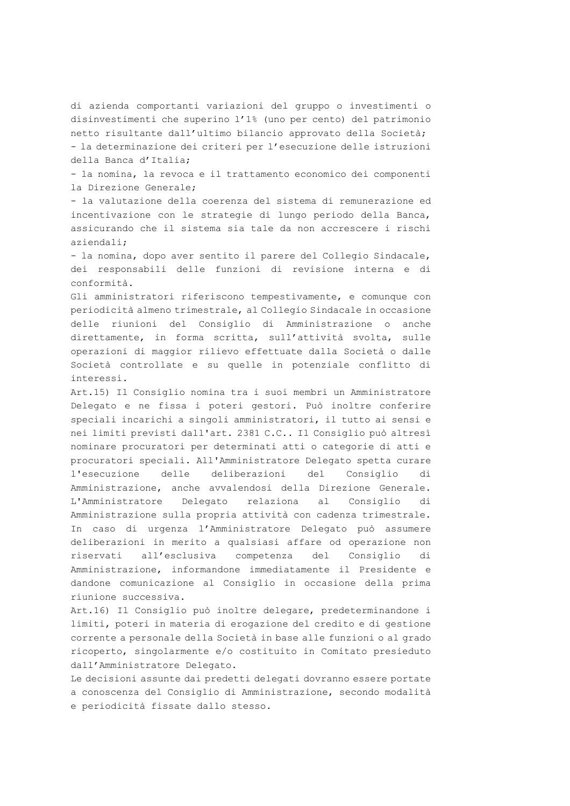di azienda comportanti variazioni del gruppo o investimenti o disinvestimenti che superino l'1% (uno per cento) del patrimonio netto risultante dall'ultimo bilancio approvato della Società; - la determinazione dei criteri per l'esecuzione delle istruzioni della Banca d'Italia;

- la nomina, la revoca e il trattamento economico dei componenti la Direzione Generale;

- la valutazione della coerenza del sistema di remunerazione ed incentivazione con le strategie di lungo periodo della Banca, assicurando che il sistema sia tale da non accrescere i rischi aziendali;

- la nomina, dopo aver sentito il parere del Collegio Sindacale, dei responsabili delle funzioni di revisione interna e di conformità.

Gli amministratori riferiscono tempestivamente, e comunque con periodicità almeno trimestrale, al Collegio Sindacale in occasione delle riunioni del Consiglio di Amministrazione o anche direttamente, in forma scritta, sull'attività svolta, sulle operazioni di maggior rilievo effettuate dalla Società o dalle Società controllate e su quelle in potenziale conflitto di interessi.

Art.15) Il Consiglio nomina tra i suoi membri un Amministratore Delegato e ne fissa i poteri gestori. Può inoltre conferire speciali incarichi a singoli amministratori, il tutto ai sensi e nei limiti previsti dall'art. 2381 C.C.. Il Consiglio può altresì nominare procuratori per determinati atti o categorie di atti e procuratori speciali. All'Amministratore Delegato spetta curare l'esecuzione delle deliberazioni del Consiglio di Amministrazione, anche avvalendosi della Direzione Generale. L'Amministratore Delegato relaziona al Consiglio di Amministrazione sulla propria attività con cadenza trimestrale. In caso di urgenza l'Amministratore Delegato può assumere deliberazioni in merito a qualsiasi affare od operazione non riservati all'esclusiva competenza del Consiglio di Amministrazione, informandone immediatamente il Presidente e dandone comunicazione al Consiglio in occasione della prima riunione successiva.

Art.16) Il Consiglio può inoltre delegare, predeterminandone i limiti, poteri in materia di erogazione del credito e di gestione corrente a personale della Società in base alle funzioni o al grado ricoperto, singolarmente e/o costituito in Comitato presieduto dall'Amministratore Delegato.

Le decisioni assunte dai predetti delegati dovranno essere portate a conoscenza del Consiglio di Amministrazione, secondo modalità e periodicità fissate dallo stesso.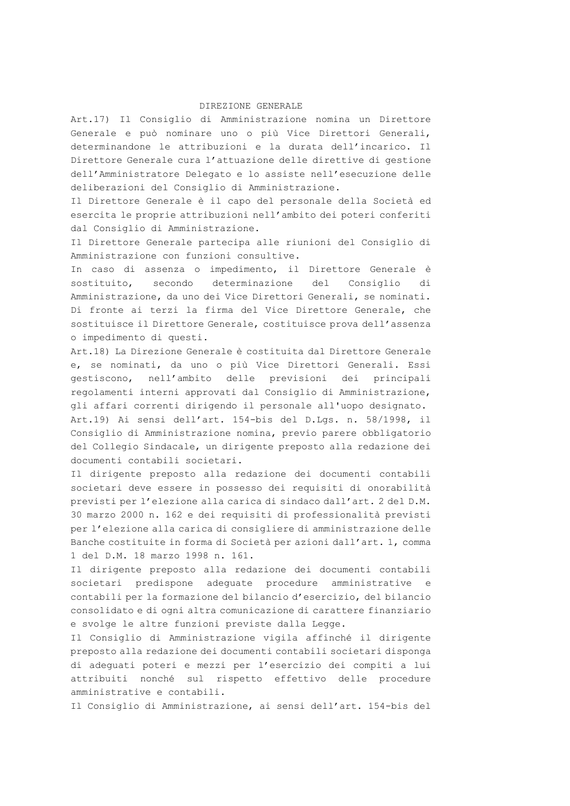### DIREZIONE GENERALE

Art.17) Il Consiglio di Amministrazione nomina un Direttore Generale e può nominare uno o più Vice Direttori Generali, determinandone le attribuzioni e la durata dell'incarico. Il Direttore Generale cura l'attuazione delle direttive di gestione dell'Amministratore Delegato e lo assiste nell'esecuzione delle deliberazioni del Consiglio di Amministrazione.

Il Direttore Generale è il capo del personale della Società ed esercita le proprie attribuzioni nell'ambito dei poteri conferiti dal Consiglio di Amministrazione.

Il Direttore Generale partecipa alle riunioni del Consiglio di Amministrazione con funzioni consultive.

In caso di assenza o impedimento, il Direttore Generale è sostituito, secondo determinazione del Consiglio di Amministrazione, da uno dei Vice Direttori Generali, se nominati. Di fronte ai terzi la firma del Vice Direttore Generale, che sostituisce il Direttore Generale, costituisce prova dell'assenza o impedimento di questi.

Art.18) La Direzione Generale è costituita dal Direttore Generale e, se nominati, da uno o più Vice Direttori Generali. Essi gestiscono, nell'ambito delle previsioni dei principali regolamenti interni approvati dal Consiglio di Amministrazione, gli affari correnti dirigendo il personale all'uopo designato. Art.19) Ai sensi dell'art. 154-bis del D.Lgs. n. 58/1998, il Consiglio di Amministrazione nomina, previo parere obbligatorio del Collegio Sindacale, un dirigente preposto alla redazione dei documenti contabili societari.

Il dirigente preposto alla redazione dei documenti contabili societari deve essere in possesso dei requisiti di onorabilità previsti per l'elezione alla carica di sindaco dall'art. 2 del D.M. 30 marzo 2000 n. 162 e dei requisiti di professionalità previsti per l'elezione alla carica di consigliere di amministrazione delle Banche costituite in forma di Società per azioni dall'art. 1, comma 1 del D.M. 18 marzo 1998 n. 161.

Il dirigente preposto alla redazione dei documenti contabili societari predispone adeguate procedure amministrative e contabili per la formazione del bilancio d'esercizio, del bilancio consolidato e di ogni altra comunicazione di carattere finanziario e svolge le altre funzioni previste dalla Legge.

Il Consiglio di Amministrazione vigila affinché il dirigente preposto alla redazione dei documenti contabili societari disponga di adeguati poteri e mezzi per l'esercizio dei compiti a lui attribuiti nonché sul rispetto effettivo delle procedure amministrative e contabili.

Il Consiglio di Amministrazione, ai sensi dell'art. 154-bis del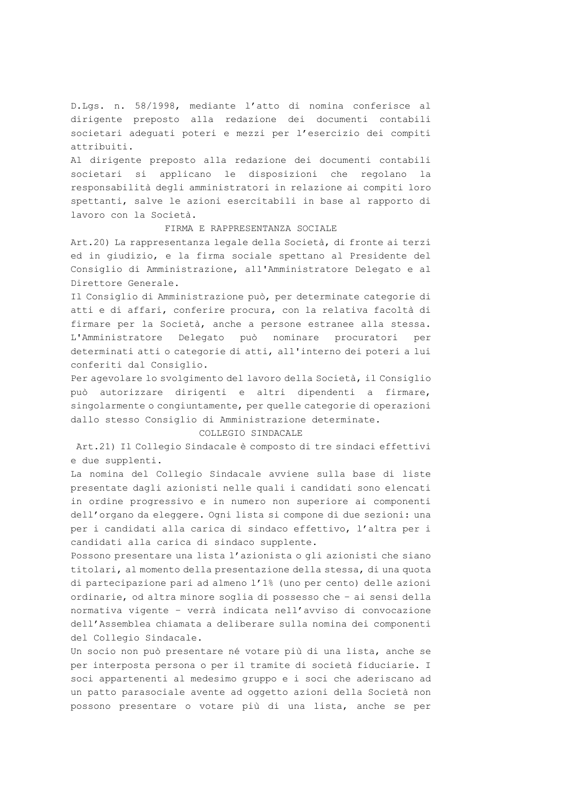D.Lgs. n. 58/1998, mediante l'atto di nomina conferisce al dirigente preposto alla redazione dei documenti contabili societari adeguati poteri e mezzi per l'esercizio dei compiti attribuiti.

Al dirigente preposto alla redazione dei documenti contabili societari si applicano le disposizioni che regolano la responsabilità degli amministratori in relazione ai compiti loro spettanti, salve le azioni esercitabili in base al rapporto di lavoro con la Società.

### FIRMA E RAPPRESENTANZA SOCIALE

Art.20) La rappresentanza legale della Società, di fronte ai terzi ed in giudizio, e la firma sociale spettano al Presidente del Consiglio di Amministrazione, all'Amministratore Delegato e al Direttore Generale.

Il Consiglio di Amministrazione può, per determinate categorie di atti e di affari, conferire procura, con la relativa facoltà di firmare per la Società, anche a persone estranee alla stessa. L'Amministratore Delegato può nominare procuratori per determinati atti o categorie di atti, all'interno dei poteri a lui conferiti dal Consiglio.

Per agevolare lo svolgimento del lavoro della Società, il Consiglio può autorizzare dirigenti e altri dipendenti a firmare, singolarmente o congiuntamente, per quelle categorie di operazioni dallo stesso Consiglio di Amministrazione determinate.

# COLLEGIO SINDACALE

 Art.21) Il Collegio Sindacale è composto di tre sindaci effettivi e due supplenti.

La nomina del Collegio Sindacale avviene sulla base di liste presentate dagli azionisti nelle quali i candidati sono elencati in ordine progressivo e in numero non superiore ai componenti dell'organo da eleggere. Ogni lista si compone di due sezioni: una per i candidati alla carica di sindaco effettivo, l'altra per i candidati alla carica di sindaco supplente.

Possono presentare una lista l'azionista o gli azionisti che siano titolari, al momento della presentazione della stessa, di una quota di partecipazione pari ad almeno l'1% (uno per cento) delle azioni ordinarie, od altra minore soglia di possesso che – ai sensi della normativa vigente – verrà indicata nell'avviso di convocazione dell'Assemblea chiamata a deliberare sulla nomina dei componenti del Collegio Sindacale.

Un socio non può presentare né votare più di una lista, anche se per interposta persona o per il tramite di società fiduciarie. I soci appartenenti al medesimo gruppo e i soci che aderiscano ad un patto parasociale avente ad oggetto azioni della Società non possono presentare o votare più di una lista, anche se per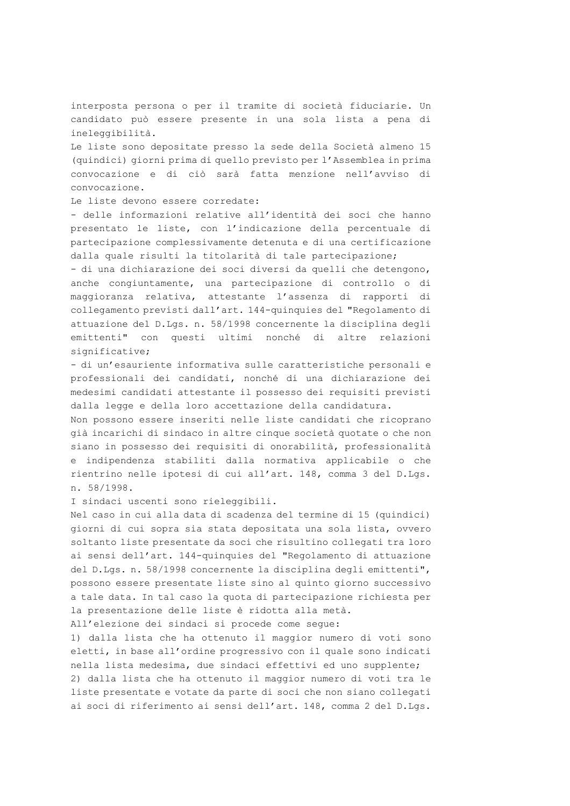interposta persona o per il tramite di società fiduciarie. Un candidato può essere presente in una sola lista a pena di ineleggibilità.

Le liste sono depositate presso la sede della Società almeno 15 (quindici) giorni prima di quello previsto per l'Assemblea in prima convocazione e di ciò sarà fatta menzione nell'avviso di convocazione.

Le liste devono essere corredate:

- delle informazioni relative all'identità dei soci che hanno presentato le liste, con l'indicazione della percentuale di partecipazione complessivamente detenuta e di una certificazione dalla quale risulti la titolarità di tale partecipazione;

- di una dichiarazione dei soci diversi da quelli che detengono, anche congiuntamente, una partecipazione di controllo o di maggioranza relativa, attestante l'assenza di rapporti di collegamento previsti dall'art. 144-quinquies del "Regolamento di attuazione del D.Lgs. n. 58/1998 concernente la disciplina degli emittenti" con questi ultimi nonché di altre relazioni significative;

- di un'esauriente informativa sulle caratteristiche personali e professionali dei candidati, nonché di una dichiarazione dei medesimi candidati attestante il possesso dei requisiti previsti dalla legge e della loro accettazione della candidatura.

Non possono essere inseriti nelle liste candidati che ricoprano già incarichi di sindaco in altre cinque società quotate o che non siano in possesso dei requisiti di onorabilità, professionalità e indipendenza stabiliti dalla normativa applicabile o che rientrino nelle ipotesi di cui all'art. 148, comma 3 del D.Lgs. n. 58/1998.

I sindaci uscenti sono rieleggibili.

Nel caso in cui alla data di scadenza del termine di 15 (quindici) giorni di cui sopra sia stata depositata una sola lista, ovvero soltanto liste presentate da soci che risultino collegati tra loro ai sensi dell'art. 144-quinquies del "Regolamento di attuazione del D.Lgs. n. 58/1998 concernente la disciplina degli emittenti", possono essere presentate liste sino al quinto giorno successivo a tale data. In tal caso la quota di partecipazione richiesta per la presentazione delle liste è ridotta alla metà.

All'elezione dei sindaci si procede come segue:

1) dalla lista che ha ottenuto il maggior numero di voti sono eletti, in base all'ordine progressivo con il quale sono indicati nella lista medesima, due sindaci effettivi ed uno supplente; 2) dalla lista che ha ottenuto il maggior numero di voti tra le liste presentate e votate da parte di soci che non siano collegati ai soci di riferimento ai sensi dell'art. 148, comma 2 del D.Lgs.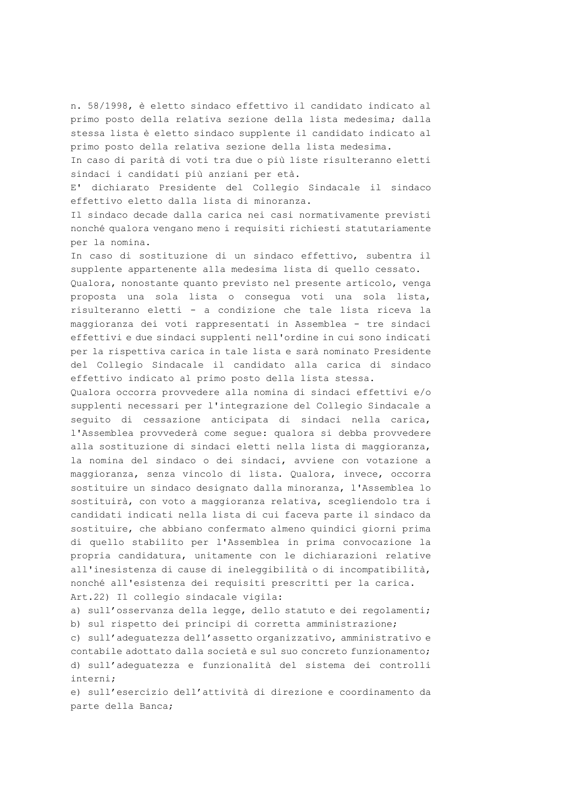n. 58/1998, è eletto sindaco effettivo il candidato indicato al primo posto della relativa sezione della lista medesima; dalla stessa lista è eletto sindaco supplente il candidato indicato al primo posto della relativa sezione della lista medesima.

In caso di parità di voti tra due o più liste risulteranno eletti sindaci i candidati più anziani per età.

E' dichiarato Presidente del Collegio Sindacale il sindaco effettivo eletto dalla lista di minoranza.

Il sindaco decade dalla carica nei casi normativamente previsti nonché qualora vengano meno i requisiti richiesti statutariamente per la nomina.

In caso di sostituzione di un sindaco effettivo, subentra il supplente appartenente alla medesima lista di quello cessato.

Qualora, nonostante quanto previsto nel presente articolo, venga proposta una sola lista o consegua voti una sola lista, risulteranno eletti - a condizione che tale lista riceva la maggioranza dei voti rappresentati in Assemblea - tre sindaci effettivi e due sindaci supplenti nell'ordine in cui sono indicati per la rispettiva carica in tale lista e sarà nominato Presidente del Collegio Sindacale il candidato alla carica di sindaco effettivo indicato al primo posto della lista stessa.

Qualora occorra provvedere alla nomina di sindaci effettivi e/o supplenti necessari per l'integrazione del Collegio Sindacale a seguito di cessazione anticipata di sindaci nella carica, l'Assemblea provvederà come segue: qualora si debba provvedere alla sostituzione di sindaci eletti nella lista di maggioranza, la nomina del sindaco o dei sindaci, avviene con votazione a maggioranza, senza vincolo di lista. Qualora, invece, occorra sostituire un sindaco designato dalla minoranza, l'Assemblea lo sostituirà, con voto a maggioranza relativa, scegliendolo tra i candidati indicati nella lista di cui faceva parte il sindaco da sostituire, che abbiano confermato almeno quindici giorni prima di quello stabilito per l'Assemblea in prima convocazione la propria candidatura, unitamente con le dichiarazioni relative all'inesistenza di cause di ineleggibilità o di incompatibilità, nonché all'esistenza dei requisiti prescritti per la carica. Art.22) Il collegio sindacale vigila:

a) sull'osservanza della legge, dello statuto e dei regolamenti; b) sul rispetto dei principi di corretta amministrazione;

c) sull'adeguatezza dell'assetto organizzativo, amministrativo e contabile adottato dalla società e sul suo concreto funzionamento; d) sull'adeguatezza e funzionalità del sistema dei controlli interni;

e) sull'esercizio dell'attività di direzione e coordinamento da parte della Banca;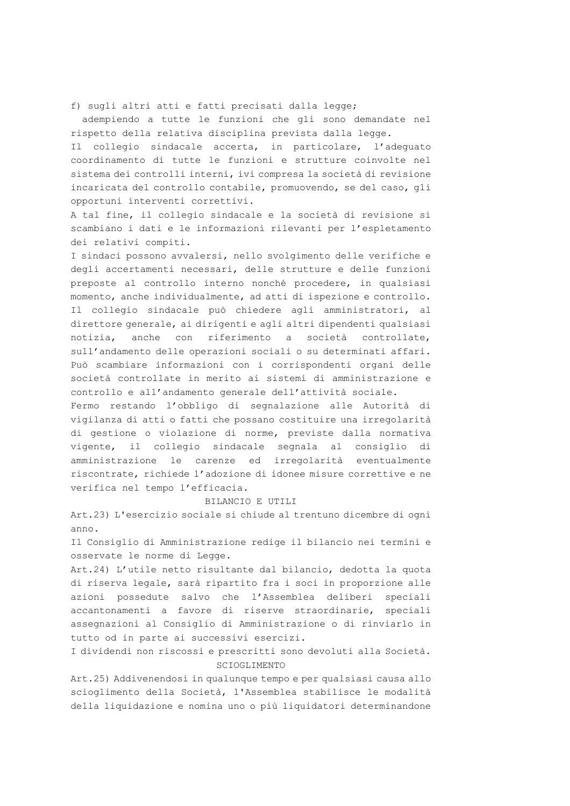f) sugli altri atti e fatti precisati dalla legge;

 adempiendo a tutte le funzioni che gli sono demandate nel rispetto della relativa disciplina prevista dalla legge.

Il collegio sindacale accerta, in particolare, l'adeguato coordinamento di tutte le funzioni e strutture coinvolte nel sistema dei controlli interni, ivi compresa la società di revisione incaricata del controllo contabile, promuovendo, se del caso, gli opportuni interventi correttivi.

A tal fine, il collegio sindacale e la società di revisione si scambiano i dati e le informazioni rilevanti per l'espletamento dei relativi compiti.

I sindaci possono avvalersi, nello svolgimento delle verifiche e degli accertamenti necessari, delle strutture e delle funzioni preposte al controllo interno nonché procedere, in qualsiasi momento, anche individualmente, ad atti di ispezione e controllo. Il collegio sindacale può chiedere agli amministratori, al direttore generale, ai dirigenti e agli altri dipendenti qualsiasi notizia, anche con riferimento a società controllate, sull'andamento delle operazioni sociali o su determinati affari. Può scambiare informazioni con i corrispondenti organi delle società controllate in merito ai sistemi di amministrazione e controllo e all'andamento generale dell'attività sociale.

Fermo restando l'obbligo di segnalazione alle Autorità di vigilanza di atti o fatti che possano costituire una irregolarità di gestione o violazione di norme, previste dalla normativa vigente, il collegio sindacale segnala al consiglio di amministrazione le carenze ed irregolarità eventualmente riscontrate, richiede l'adozione di idonee misure correttive e ne verifica nel tempo l'efficacia.

### BILANCIO E UTILI

Art.23) L'esercizio sociale si chiude al trentuno dicembre di ogni anno.

Il Consiglio di Amministrazione redige il bilancio nei termini e osservate le norme di Legge.

Art.24) L'utile netto risultante dal bilancio, dedotta la quota di riserva legale, sarà ripartito fra i soci in proporzione alle azioni possedute salvo che l'Assemblea deliberi speciali accantonamenti a favore di riserve straordinarie, speciali assegnazioni al Consiglio di Amministrazione o di rinviarlo in tutto od in parte ai successivi esercizi.

I dividendi non riscossi e prescritti sono devoluti alla Società. SCIOGLIMENTO

Art.25) Addivenendosi in qualunque tempo e per qualsiasi causa allo scioglimento della Società, l'Assemblea stabilisce le modalità della liquidazione e nomina uno o più liquidatori determinandone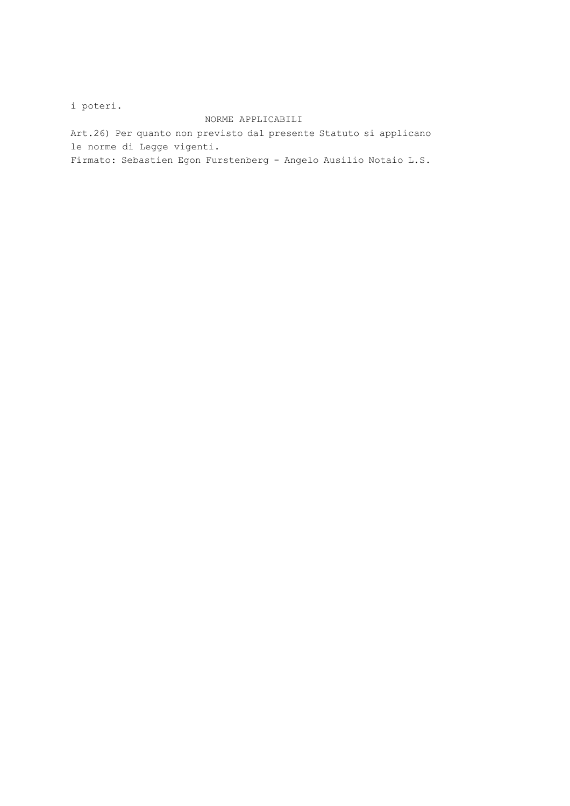i poteri.

# NORME APPLICABILI

Art.26) Per quanto non previsto dal presente Statuto si applicano le norme di Legge vigenti.

Firmato: Sebastien Egon Furstenberg - Angelo Ausilio Notaio L.S.